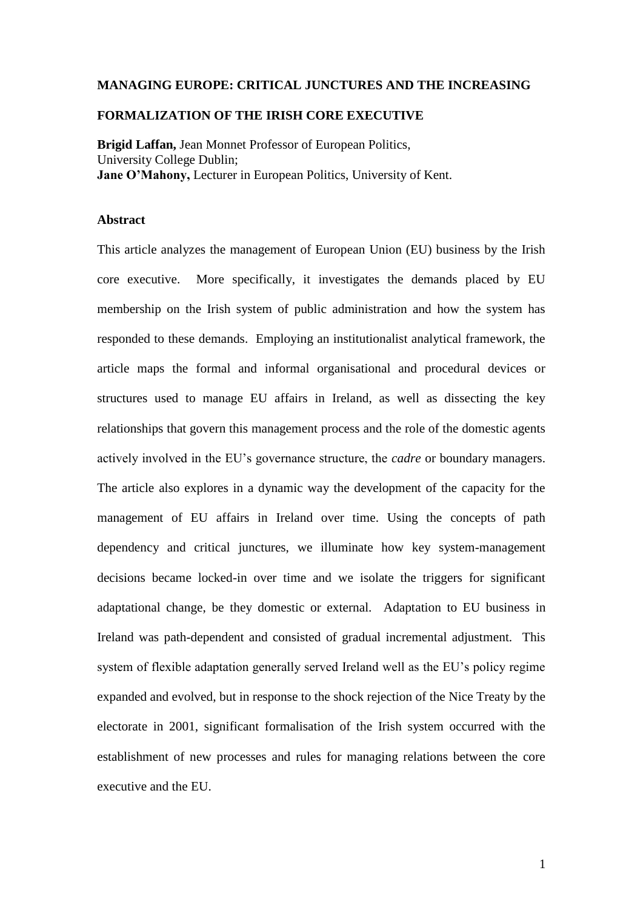#### **MANAGING EUROPE: CRITICAL JUNCTURES AND THE INCREASING**

#### **FORMALIZATION OF THE IRISH CORE EXECUTIVE**

**Brigid Laffan,** Jean Monnet Professor of European Politics, University College Dublin; **Jane O'Mahony,** Lecturer in European Politics, University of Kent.

## **Abstract**

This article analyzes the management of European Union (EU) business by the Irish core executive. More specifically, it investigates the demands placed by EU membership on the Irish system of public administration and how the system has responded to these demands. Employing an institutionalist analytical framework, the article maps the formal and informal organisational and procedural devices or structures used to manage EU affairs in Ireland, as well as dissecting the key relationships that govern this management process and the role of the domestic agents actively involved in the EU's governance structure, the *cadre* or boundary managers. The article also explores in a dynamic way the development of the capacity for the management of EU affairs in Ireland over time. Using the concepts of path dependency and critical junctures, we illuminate how key system-management decisions became locked-in over time and we isolate the triggers for significant adaptational change, be they domestic or external. Adaptation to EU business in Ireland was path-dependent and consisted of gradual incremental adjustment. This system of flexible adaptation generally served Ireland well as the EU's policy regime expanded and evolved, but in response to the shock rejection of the Nice Treaty by the electorate in 2001, significant formalisation of the Irish system occurred with the establishment of new processes and rules for managing relations between the core executive and the EU.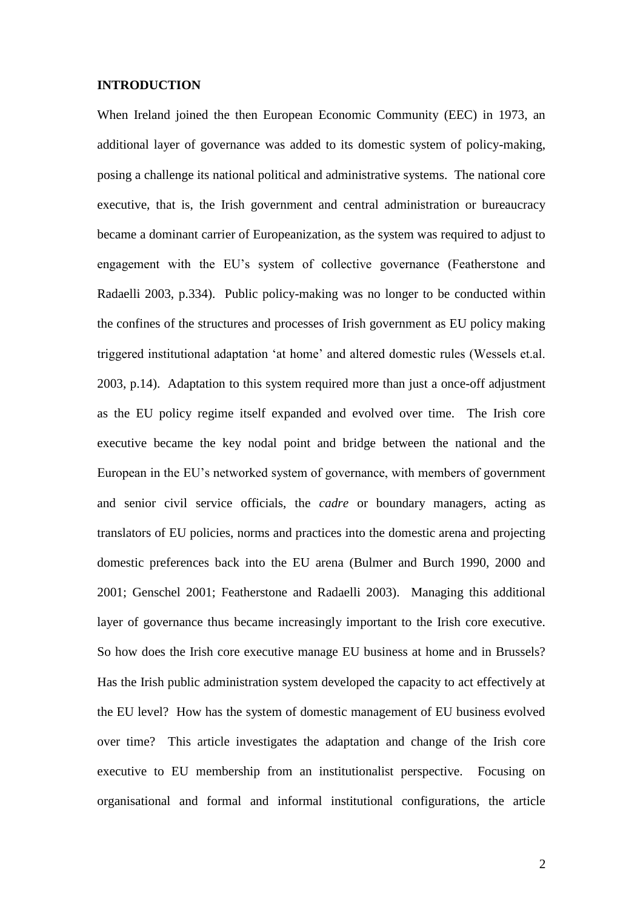#### **INTRODUCTION**

When Ireland joined the then European Economic Community (EEC) in 1973, an additional layer of governance was added to its domestic system of policy-making, posing a challenge its national political and administrative systems. The national core executive, that is, the Irish government and central administration or bureaucracy became a dominant carrier of Europeanization, as the system was required to adjust to engagement with the EU's system of collective governance (Featherstone and Radaelli 2003, p.334). Public policy-making was no longer to be conducted within the confines of the structures and processes of Irish government as EU policy making triggered institutional adaptation 'at home' and altered domestic rules (Wessels et.al. 2003, p.14). Adaptation to this system required more than just a once-off adjustment as the EU policy regime itself expanded and evolved over time. The Irish core executive became the key nodal point and bridge between the national and the European in the EU's networked system of governance, with members of government and senior civil service officials, the *cadre* or boundary managers, acting as translators of EU policies, norms and practices into the domestic arena and projecting domestic preferences back into the EU arena (Bulmer and Burch 1990, 2000 and 2001; Genschel 2001; Featherstone and Radaelli 2003). Managing this additional layer of governance thus became increasingly important to the Irish core executive. So how does the Irish core executive manage EU business at home and in Brussels? Has the Irish public administration system developed the capacity to act effectively at the EU level? How has the system of domestic management of EU business evolved over time? This article investigates the adaptation and change of the Irish core executive to EU membership from an institutionalist perspective. Focusing on organisational and formal and informal institutional configurations, the article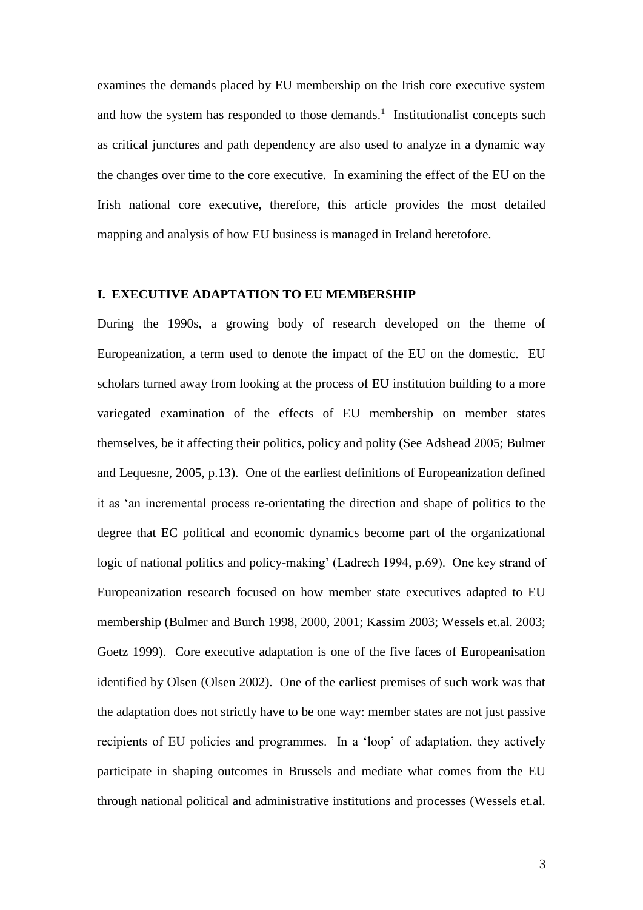examines the demands placed by EU membership on the Irish core executive system and how the system has responded to those demands.<sup>1</sup> Institutionalist concepts such as critical junctures and path dependency are also used to analyze in a dynamic way the changes over time to the core executive. In examining the effect of the EU on the Irish national core executive, therefore, this article provides the most detailed mapping and analysis of how EU business is managed in Ireland heretofore.

## **I. EXECUTIVE ADAPTATION TO EU MEMBERSHIP**

During the 1990s, a growing body of research developed on the theme of Europeanization, a term used to denote the impact of the EU on the domestic. EU scholars turned away from looking at the process of EU institution building to a more variegated examination of the effects of EU membership on member states themselves, be it affecting their politics, policy and polity (See Adshead 2005; Bulmer and Lequesne, 2005, p.13). One of the earliest definitions of Europeanization defined it as 'an incremental process re-orientating the direction and shape of politics to the degree that EC political and economic dynamics become part of the organizational logic of national politics and policy-making' (Ladrech 1994, p.69). One key strand of Europeanization research focused on how member state executives adapted to EU membership (Bulmer and Burch 1998, 2000, 2001; Kassim 2003; Wessels et.al. 2003; Goetz 1999). Core executive adaptation is one of the five faces of Europeanisation identified by Olsen (Olsen 2002). One of the earliest premises of such work was that the adaptation does not strictly have to be one way: member states are not just passive recipients of EU policies and programmes. In a 'loop' of adaptation, they actively participate in shaping outcomes in Brussels and mediate what comes from the EU through national political and administrative institutions and processes (Wessels et.al.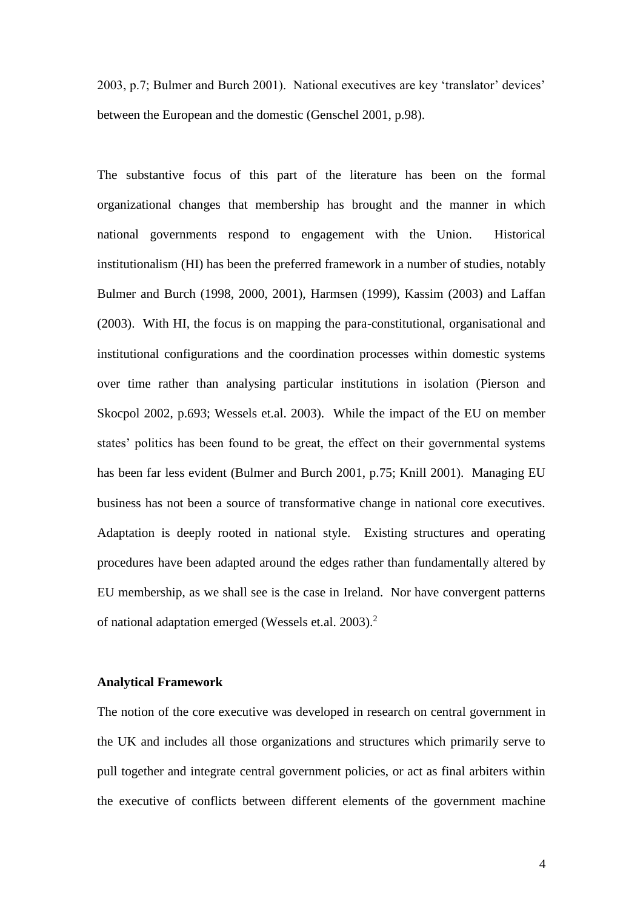2003, p.7; Bulmer and Burch 2001). National executives are key 'translator' devices' between the European and the domestic (Genschel 2001, p.98).

The substantive focus of this part of the literature has been on the formal organizational changes that membership has brought and the manner in which national governments respond to engagement with the Union. Historical institutionalism (HI) has been the preferred framework in a number of studies, notably Bulmer and Burch (1998, 2000, 2001), Harmsen (1999), Kassim (2003) and Laffan (2003). With HI, the focus is on mapping the para-constitutional, organisational and institutional configurations and the coordination processes within domestic systems over time rather than analysing particular institutions in isolation (Pierson and Skocpol 2002, p.693; Wessels et.al. 2003). While the impact of the EU on member states' politics has been found to be great, the effect on their governmental systems has been far less evident (Bulmer and Burch 2001, p.75; Knill 2001). Managing EU business has not been a source of transformative change in national core executives. Adaptation is deeply rooted in national style. Existing structures and operating procedures have been adapted around the edges rather than fundamentally altered by EU membership, as we shall see is the case in Ireland. Nor have convergent patterns of national adaptation emerged (Wessels et.al. 2003).<sup>2</sup>

#### **Analytical Framework**

The notion of the core executive was developed in research on central government in the UK and includes all those organizations and structures which primarily serve to pull together and integrate central government policies, or act as final arbiters within the executive of conflicts between different elements of the government machine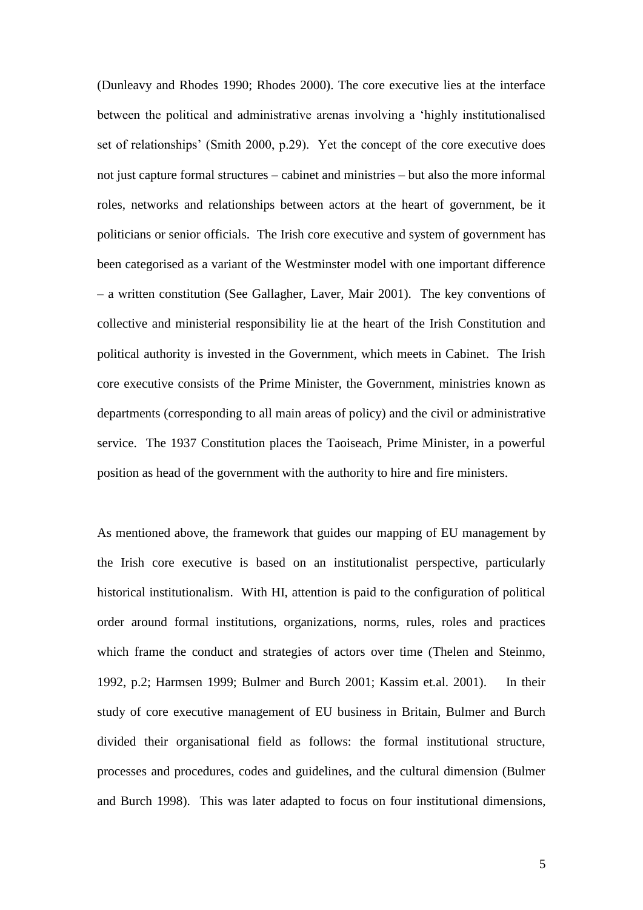(Dunleavy and Rhodes 1990; Rhodes 2000). The core executive lies at the interface between the political and administrative arenas involving a 'highly institutionalised set of relationships' (Smith 2000, p.29). Yet the concept of the core executive does not just capture formal structures – cabinet and ministries – but also the more informal roles, networks and relationships between actors at the heart of government, be it politicians or senior officials. The Irish core executive and system of government has been categorised as a variant of the Westminster model with one important difference – a written constitution (See Gallagher, Laver, Mair 2001). The key conventions of collective and ministerial responsibility lie at the heart of the Irish Constitution and political authority is invested in the Government, which meets in Cabinet. The Irish core executive consists of the Prime Minister, the Government, ministries known as departments (corresponding to all main areas of policy) and the civil or administrative service. The 1937 Constitution places the Taoiseach, Prime Minister, in a powerful position as head of the government with the authority to hire and fire ministers.

As mentioned above, the framework that guides our mapping of EU management by the Irish core executive is based on an institutionalist perspective, particularly historical institutionalism. With HI, attention is paid to the configuration of political order around formal institutions, organizations, norms, rules, roles and practices which frame the conduct and strategies of actors over time (Thelen and Steinmo, 1992, p.2; Harmsen 1999; Bulmer and Burch 2001; Kassim et.al. 2001). In their study of core executive management of EU business in Britain, Bulmer and Burch divided their organisational field as follows: the formal institutional structure, processes and procedures, codes and guidelines, and the cultural dimension (Bulmer and Burch 1998). This was later adapted to focus on four institutional dimensions,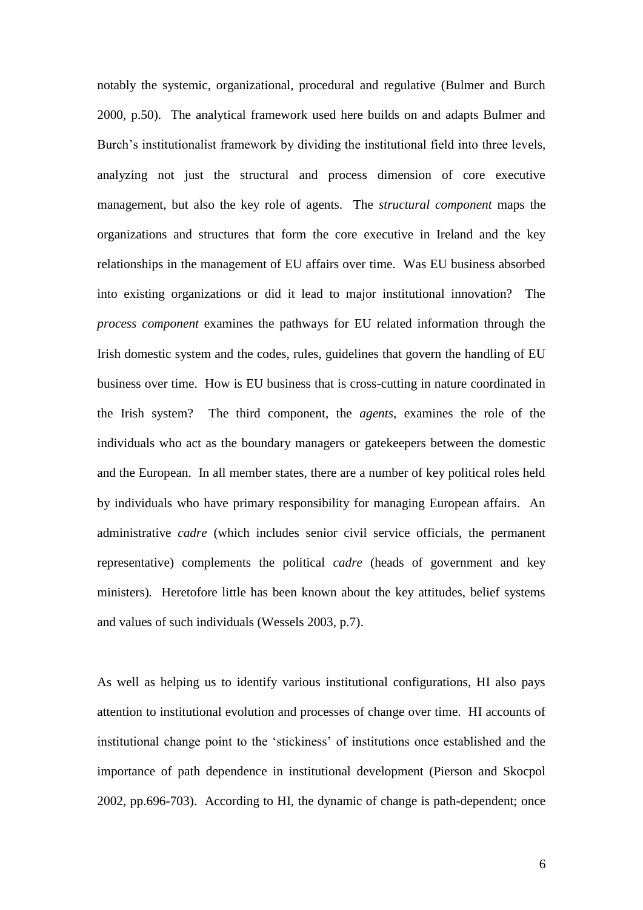notably the systemic, organizational, procedural and regulative (Bulmer and Burch 2000, p.50). The analytical framework used here builds on and adapts Bulmer and Burch's institutionalist framework by dividing the institutional field into three levels, analyzing not just the structural and process dimension of core executive management, but also the key role of agents. The *structural component* maps the organizations and structures that form the core executive in Ireland and the key relationships in the management of EU affairs over time. Was EU business absorbed into existing organizations or did it lead to major institutional innovation? The *process component* examines the pathways for EU related information through the Irish domestic system and the codes, rules, guidelines that govern the handling of EU business over time. How is EU business that is cross-cutting in nature coordinated in the Irish system? The third component, the *agents,* examines the role of the individuals who act as the boundary managers or gatekeepers between the domestic and the European. In all member states, there are a number of key political roles held by individuals who have primary responsibility for managing European affairs. An administrative *cadre* (which includes senior civil service officials, the permanent representative) complements the political *cadre* (heads of government and key ministers)*.* Heretofore little has been known about the key attitudes, belief systems and values of such individuals (Wessels 2003, p.7).

As well as helping us to identify various institutional configurations, HI also pays attention to institutional evolution and processes of change over time. HI accounts of institutional change point to the 'stickiness' of institutions once established and the importance of path dependence in institutional development (Pierson and Skocpol 2002, pp.696-703). According to HI, the dynamic of change is path-dependent; once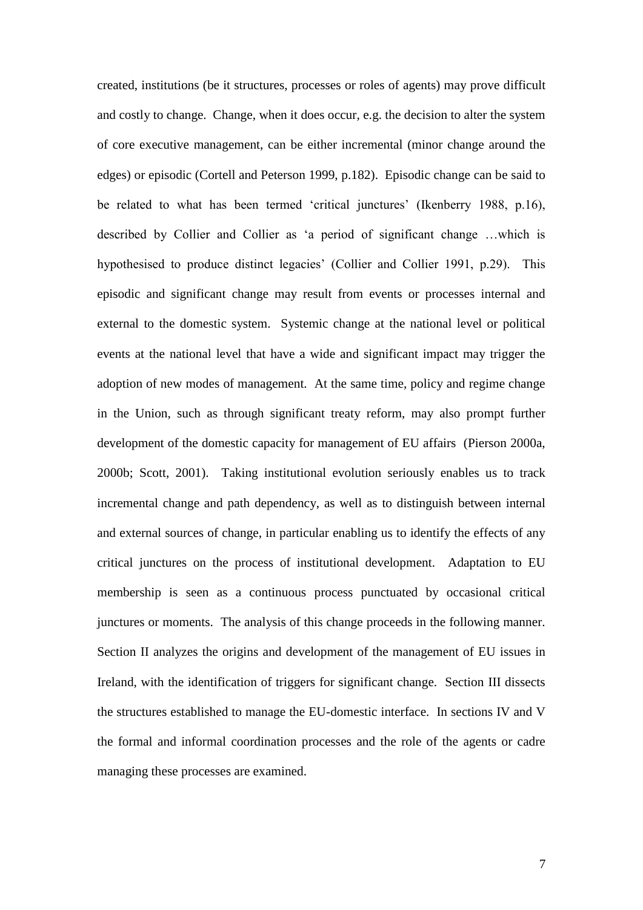created, institutions (be it structures, processes or roles of agents) may prove difficult and costly to change. Change, when it does occur, e.g. the decision to alter the system of core executive management, can be either incremental (minor change around the edges) or episodic (Cortell and Peterson 1999, p.182). Episodic change can be said to be related to what has been termed 'critical junctures' (Ikenberry 1988, p.16), described by Collier and Collier as 'a period of significant change …which is hypothesised to produce distinct legacies' (Collier and Collier 1991, p.29). This episodic and significant change may result from events or processes internal and external to the domestic system. Systemic change at the national level or political events at the national level that have a wide and significant impact may trigger the adoption of new modes of management. At the same time, policy and regime change in the Union, such as through significant treaty reform, may also prompt further development of the domestic capacity for management of EU affairs (Pierson 2000a, 2000b; Scott, 2001). Taking institutional evolution seriously enables us to track incremental change and path dependency, as well as to distinguish between internal and external sources of change, in particular enabling us to identify the effects of any critical junctures on the process of institutional development. Adaptation to EU membership is seen as a continuous process punctuated by occasional critical junctures or moments. The analysis of this change proceeds in the following manner. Section II analyzes the origins and development of the management of EU issues in Ireland, with the identification of triggers for significant change. Section III dissects the structures established to manage the EU-domestic interface. In sections IV and V the formal and informal coordination processes and the role of the agents or cadre managing these processes are examined.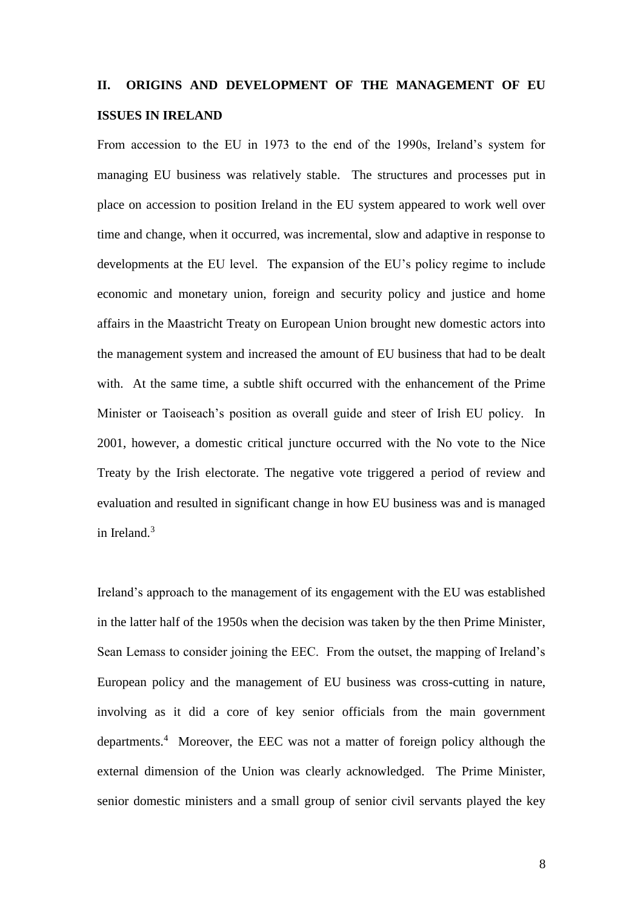# **II. ORIGINS AND DEVELOPMENT OF THE MANAGEMENT OF EU ISSUES IN IRELAND**

From accession to the EU in 1973 to the end of the 1990s, Ireland's system for managing EU business was relatively stable. The structures and processes put in place on accession to position Ireland in the EU system appeared to work well over time and change, when it occurred, was incremental, slow and adaptive in response to developments at the EU level. The expansion of the EU's policy regime to include economic and monetary union, foreign and security policy and justice and home affairs in the Maastricht Treaty on European Union brought new domestic actors into the management system and increased the amount of EU business that had to be dealt with. At the same time, a subtle shift occurred with the enhancement of the Prime Minister or Taoiseach's position as overall guide and steer of Irish EU policy. In 2001, however, a domestic critical juncture occurred with the No vote to the Nice Treaty by the Irish electorate. The negative vote triggered a period of review and evaluation and resulted in significant change in how EU business was and is managed in Ireland $<sup>3</sup>$ </sup>

Ireland's approach to the management of its engagement with the EU was established in the latter half of the 1950s when the decision was taken by the then Prime Minister, Sean Lemass to consider joining the EEC. From the outset, the mapping of Ireland's European policy and the management of EU business was cross-cutting in nature, involving as it did a core of key senior officials from the main government departments.<sup>4</sup> Moreover, the EEC was not a matter of foreign policy although the external dimension of the Union was clearly acknowledged. The Prime Minister, senior domestic ministers and a small group of senior civil servants played the key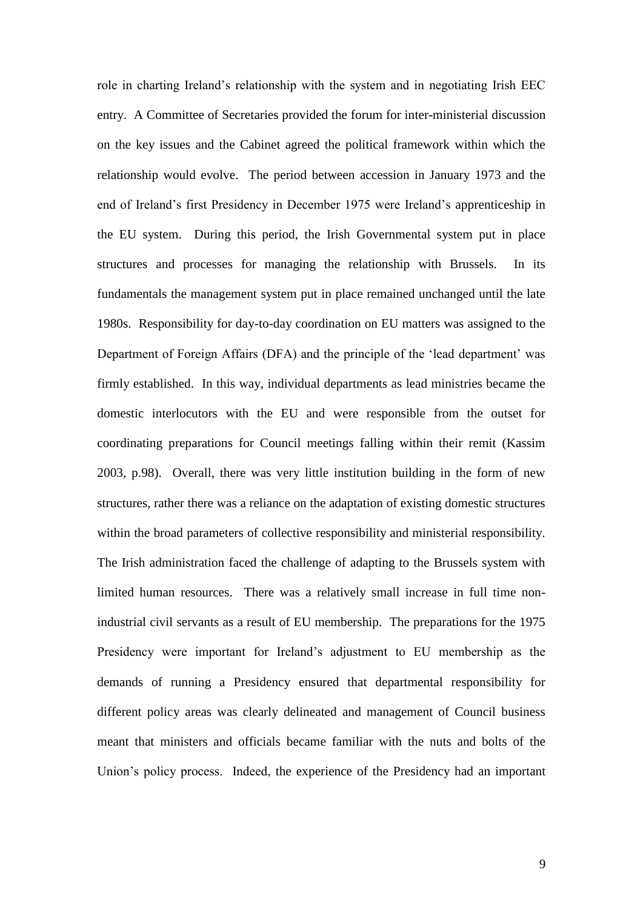role in charting Ireland's relationship with the system and in negotiating Irish EEC entry. A Committee of Secretaries provided the forum for inter-ministerial discussion on the key issues and the Cabinet agreed the political framework within which the relationship would evolve. The period between accession in January 1973 and the end of Ireland's first Presidency in December 1975 were Ireland's apprenticeship in the EU system. During this period, the Irish Governmental system put in place structures and processes for managing the relationship with Brussels. In its fundamentals the management system put in place remained unchanged until the late 1980s. Responsibility for day-to-day coordination on EU matters was assigned to the Department of Foreign Affairs (DFA) and the principle of the 'lead department' was firmly established. In this way, individual departments as lead ministries became the domestic interlocutors with the EU and were responsible from the outset for coordinating preparations for Council meetings falling within their remit (Kassim 2003, p.98). Overall, there was very little institution building in the form of new structures, rather there was a reliance on the adaptation of existing domestic structures within the broad parameters of collective responsibility and ministerial responsibility. The Irish administration faced the challenge of adapting to the Brussels system with limited human resources. There was a relatively small increase in full time nonindustrial civil servants as a result of EU membership. The preparations for the 1975 Presidency were important for Ireland's adjustment to EU membership as the demands of running a Presidency ensured that departmental responsibility for different policy areas was clearly delineated and management of Council business meant that ministers and officials became familiar with the nuts and bolts of the Union's policy process. Indeed, the experience of the Presidency had an important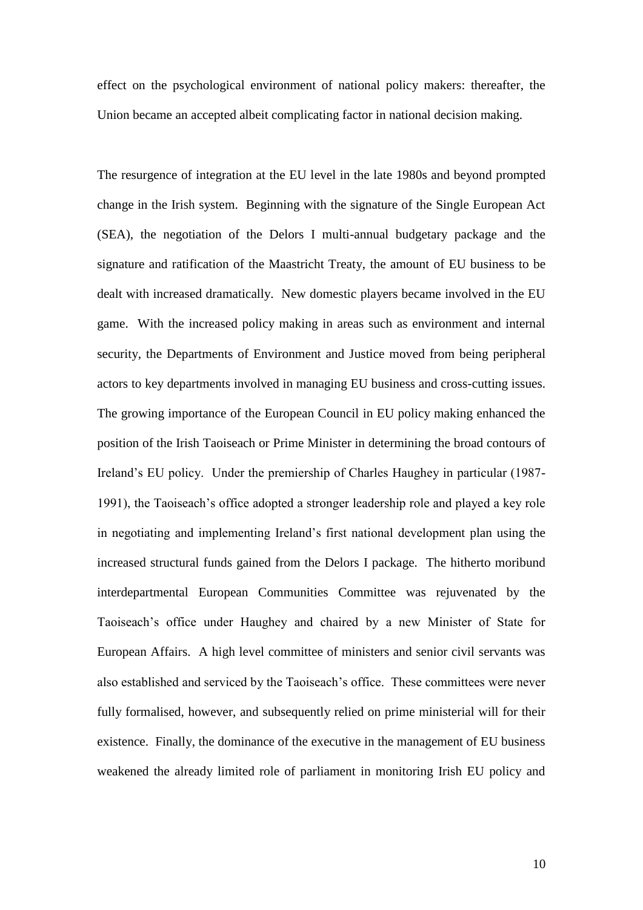effect on the psychological environment of national policy makers: thereafter, the Union became an accepted albeit complicating factor in national decision making.

The resurgence of integration at the EU level in the late 1980s and beyond prompted change in the Irish system. Beginning with the signature of the Single European Act (SEA), the negotiation of the Delors I multi-annual budgetary package and the signature and ratification of the Maastricht Treaty, the amount of EU business to be dealt with increased dramatically. New domestic players became involved in the EU game. With the increased policy making in areas such as environment and internal security, the Departments of Environment and Justice moved from being peripheral actors to key departments involved in managing EU business and cross-cutting issues. The growing importance of the European Council in EU policy making enhanced the position of the Irish Taoiseach or Prime Minister in determining the broad contours of Ireland's EU policy. Under the premiership of Charles Haughey in particular (1987- 1991), the Taoiseach's office adopted a stronger leadership role and played a key role in negotiating and implementing Ireland's first national development plan using the increased structural funds gained from the Delors I package. The hitherto moribund interdepartmental European Communities Committee was rejuvenated by the Taoiseach's office under Haughey and chaired by a new Minister of State for European Affairs. A high level committee of ministers and senior civil servants was also established and serviced by the Taoiseach's office. These committees were never fully formalised, however, and subsequently relied on prime ministerial will for their existence. Finally, the dominance of the executive in the management of EU business weakened the already limited role of parliament in monitoring Irish EU policy and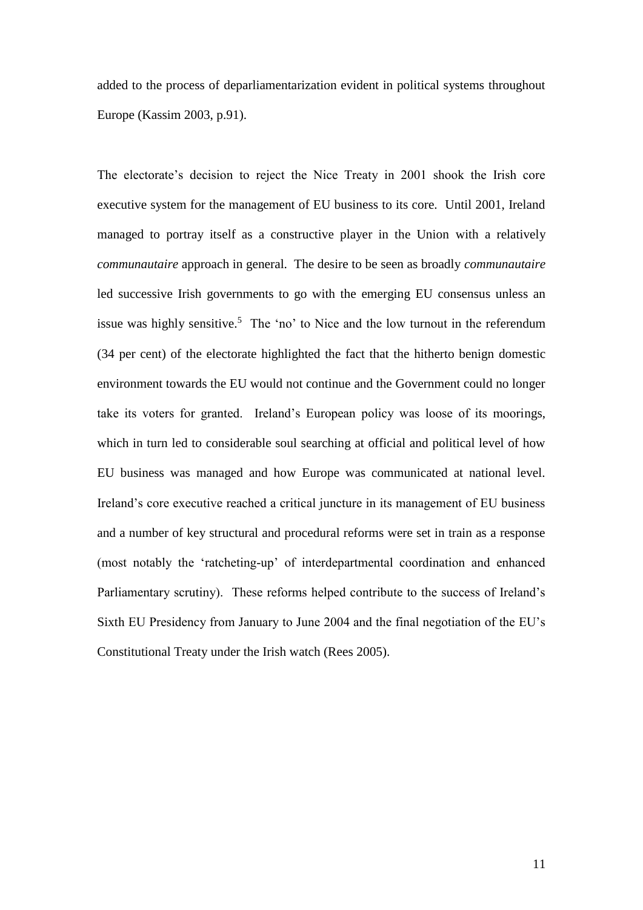added to the process of deparliamentarization evident in political systems throughout Europe (Kassim 2003, p.91).

The electorate's decision to reject the Nice Treaty in 2001 shook the Irish core executive system for the management of EU business to its core. Until 2001, Ireland managed to portray itself as a constructive player in the Union with a relatively *communautaire* approach in general. The desire to be seen as broadly *communautaire* led successive Irish governments to go with the emerging EU consensus unless an issue was highly sensitive.<sup>5</sup> The 'no' to Nice and the low turnout in the referendum (34 per cent) of the electorate highlighted the fact that the hitherto benign domestic environment towards the EU would not continue and the Government could no longer take its voters for granted. Ireland's European policy was loose of its moorings, which in turn led to considerable soul searching at official and political level of how EU business was managed and how Europe was communicated at national level. Ireland's core executive reached a critical juncture in its management of EU business and a number of key structural and procedural reforms were set in train as a response (most notably the 'ratcheting-up' of interdepartmental coordination and enhanced Parliamentary scrutiny). These reforms helped contribute to the success of Ireland's Sixth EU Presidency from January to June 2004 and the final negotiation of the EU's Constitutional Treaty under the Irish watch (Rees 2005).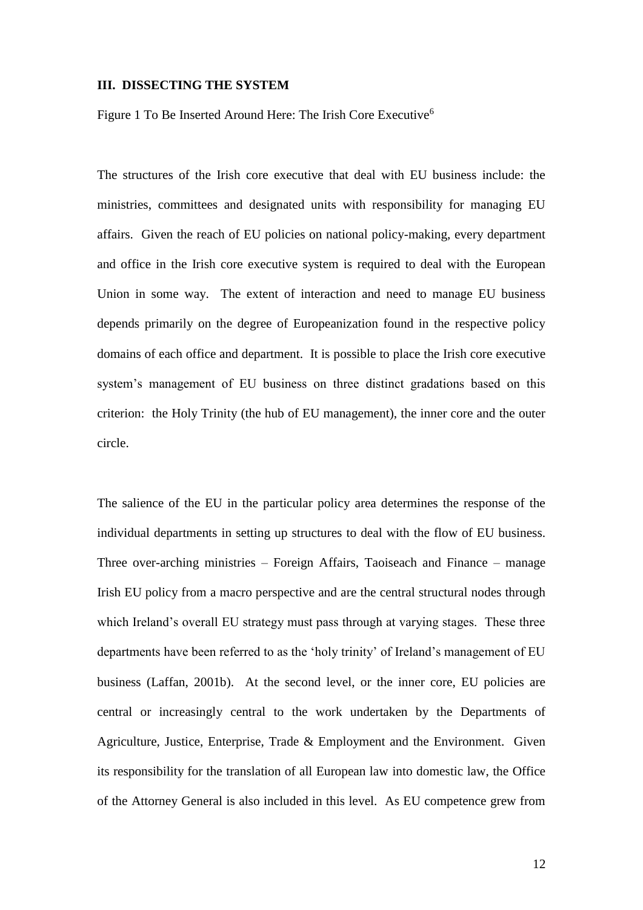#### **III. DISSECTING THE SYSTEM**

Figure 1 To Be Inserted Around Here: The Irish Core Executive<sup>6</sup>

The structures of the Irish core executive that deal with EU business include: the ministries, committees and designated units with responsibility for managing EU affairs. Given the reach of EU policies on national policy-making, every department and office in the Irish core executive system is required to deal with the European Union in some way. The extent of interaction and need to manage EU business depends primarily on the degree of Europeanization found in the respective policy domains of each office and department. It is possible to place the Irish core executive system's management of EU business on three distinct gradations based on this criterion: the Holy Trinity (the hub of EU management), the inner core and the outer circle.

The salience of the EU in the particular policy area determines the response of the individual departments in setting up structures to deal with the flow of EU business. Three over-arching ministries – Foreign Affairs, Taoiseach and Finance – manage Irish EU policy from a macro perspective and are the central structural nodes through which Ireland's overall EU strategy must pass through at varying stages. These three departments have been referred to as the 'holy trinity' of Ireland's management of EU business (Laffan, 2001b). At the second level, or the inner core, EU policies are central or increasingly central to the work undertaken by the Departments of Agriculture, Justice, Enterprise, Trade & Employment and the Environment. Given its responsibility for the translation of all European law into domestic law, the Office of the Attorney General is also included in this level. As EU competence grew from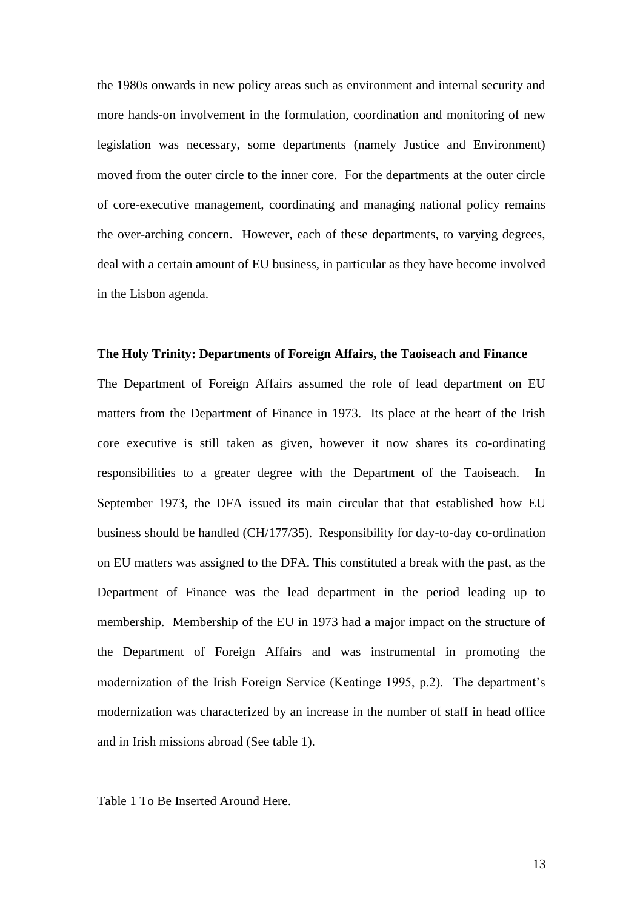the 1980s onwards in new policy areas such as environment and internal security and more hands-on involvement in the formulation, coordination and monitoring of new legislation was necessary, some departments (namely Justice and Environment) moved from the outer circle to the inner core. For the departments at the outer circle of core-executive management, coordinating and managing national policy remains the over-arching concern. However, each of these departments, to varying degrees, deal with a certain amount of EU business, in particular as they have become involved in the Lisbon agenda.

#### **The Holy Trinity: Departments of Foreign Affairs, the Taoiseach and Finance**

The Department of Foreign Affairs assumed the role of lead department on EU matters from the Department of Finance in 1973. Its place at the heart of the Irish core executive is still taken as given, however it now shares its co-ordinating responsibilities to a greater degree with the Department of the Taoiseach. In September 1973, the DFA issued its main circular that that established how EU business should be handled (CH/177/35). Responsibility for day-to-day co-ordination on EU matters was assigned to the DFA. This constituted a break with the past, as the Department of Finance was the lead department in the period leading up to membership. Membership of the EU in 1973 had a major impact on the structure of the Department of Foreign Affairs and was instrumental in promoting the modernization of the Irish Foreign Service (Keatinge 1995, p.2). The department's modernization was characterized by an increase in the number of staff in head office and in Irish missions abroad (See table 1).

Table 1 To Be Inserted Around Here.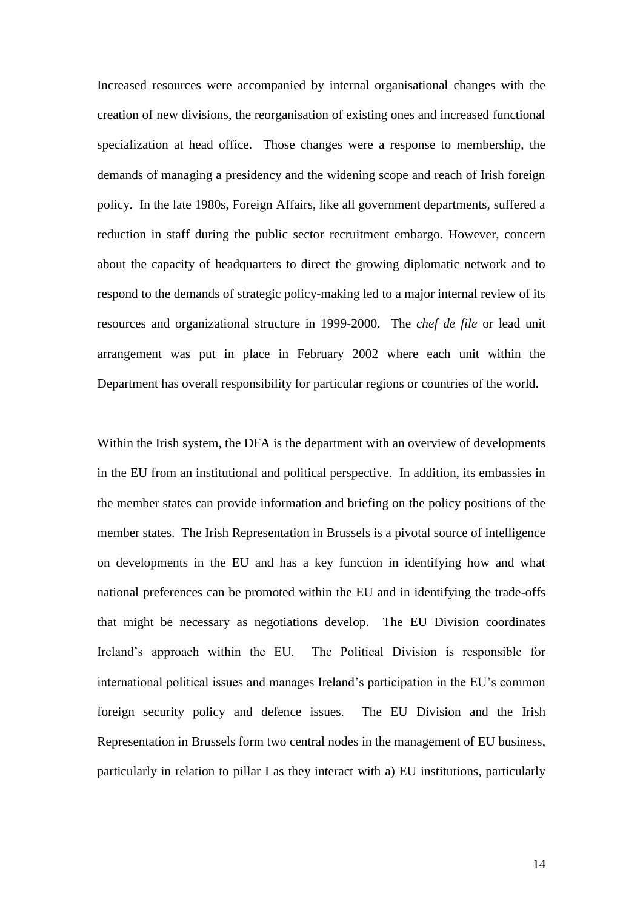Increased resources were accompanied by internal organisational changes with the creation of new divisions, the reorganisation of existing ones and increased functional specialization at head office. Those changes were a response to membership, the demands of managing a presidency and the widening scope and reach of Irish foreign policy. In the late 1980s, Foreign Affairs, like all government departments, suffered a reduction in staff during the public sector recruitment embargo. However, concern about the capacity of headquarters to direct the growing diplomatic network and to respond to the demands of strategic policy-making led to a major internal review of its resources and organizational structure in 1999-2000. The *chef de file* or lead unit arrangement was put in place in February 2002 where each unit within the Department has overall responsibility for particular regions or countries of the world.

Within the Irish system, the DFA is the department with an overview of developments in the EU from an institutional and political perspective. In addition, its embassies in the member states can provide information and briefing on the policy positions of the member states. The Irish Representation in Brussels is a pivotal source of intelligence on developments in the EU and has a key function in identifying how and what national preferences can be promoted within the EU and in identifying the trade-offs that might be necessary as negotiations develop. The EU Division coordinates Ireland's approach within the EU. The Political Division is responsible for international political issues and manages Ireland's participation in the EU's common foreign security policy and defence issues. The EU Division and the Irish Representation in Brussels form two central nodes in the management of EU business, particularly in relation to pillar I as they interact with a) EU institutions, particularly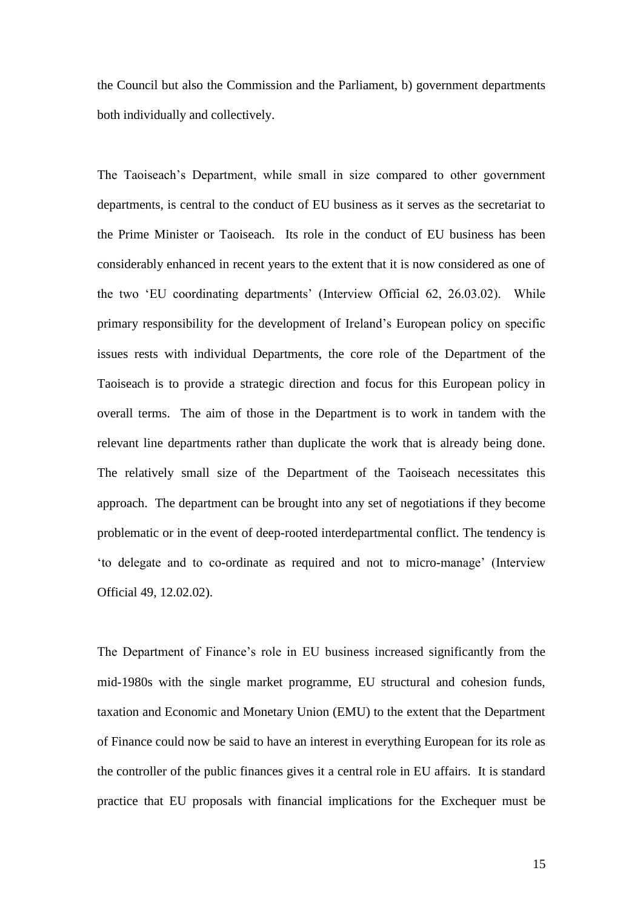the Council but also the Commission and the Parliament, b) government departments both individually and collectively.

The Taoiseach's Department, while small in size compared to other government departments, is central to the conduct of EU business as it serves as the secretariat to the Prime Minister or Taoiseach. Its role in the conduct of EU business has been considerably enhanced in recent years to the extent that it is now considered as one of the two 'EU coordinating departments' (Interview Official 62, 26.03.02). While primary responsibility for the development of Ireland's European policy on specific issues rests with individual Departments, the core role of the Department of the Taoiseach is to provide a strategic direction and focus for this European policy in overall terms. The aim of those in the Department is to work in tandem with the relevant line departments rather than duplicate the work that is already being done. The relatively small size of the Department of the Taoiseach necessitates this approach. The department can be brought into any set of negotiations if they become problematic or in the event of deep-rooted interdepartmental conflict. The tendency is 'to delegate and to co-ordinate as required and not to micro-manage' (Interview Official 49, 12.02.02).

The Department of Finance's role in EU business increased significantly from the mid-1980s with the single market programme, EU structural and cohesion funds, taxation and Economic and Monetary Union (EMU) to the extent that the Department of Finance could now be said to have an interest in everything European for its role as the controller of the public finances gives it a central role in EU affairs. It is standard practice that EU proposals with financial implications for the Exchequer must be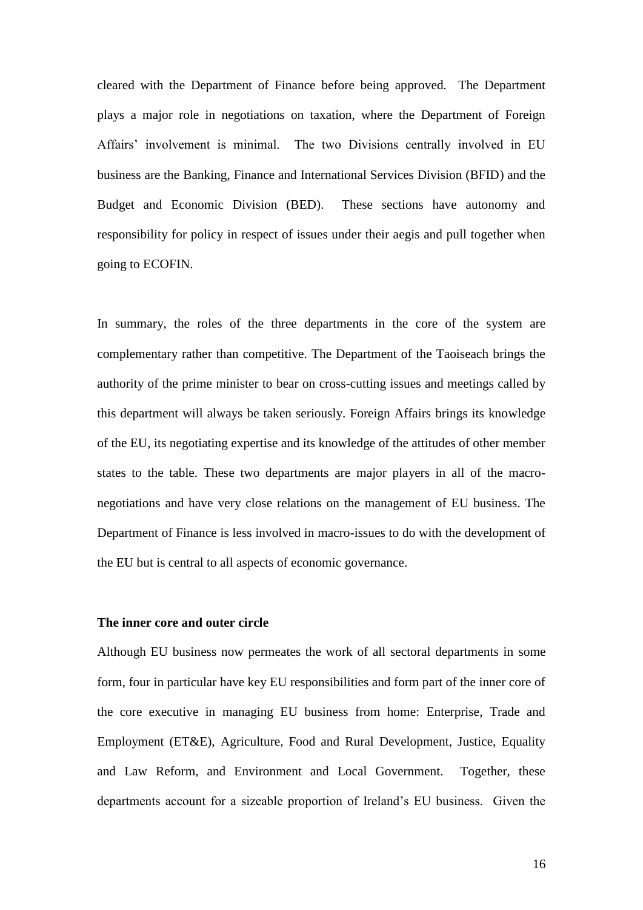cleared with the Department of Finance before being approved. The Department plays a major role in negotiations on taxation, where the Department of Foreign Affairs' involvement is minimal. The two Divisions centrally involved in EU business are the Banking, Finance and International Services Division (BFID) and the Budget and Economic Division (BED). These sections have autonomy and responsibility for policy in respect of issues under their aegis and pull together when going to ECOFIN.

In summary, the roles of the three departments in the core of the system are complementary rather than competitive. The Department of the Taoiseach brings the authority of the prime minister to bear on cross-cutting issues and meetings called by this department will always be taken seriously. Foreign Affairs brings its knowledge of the EU, its negotiating expertise and its knowledge of the attitudes of other member states to the table. These two departments are major players in all of the macronegotiations and have very close relations on the management of EU business. The Department of Finance is less involved in macro-issues to do with the development of the EU but is central to all aspects of economic governance.

## **The inner core and outer circle**

Although EU business now permeates the work of all sectoral departments in some form, four in particular have key EU responsibilities and form part of the inner core of the core executive in managing EU business from home: Enterprise, Trade and Employment (ET&E), Agriculture, Food and Rural Development, Justice, Equality and Law Reform, and Environment and Local Government. Together, these departments account for a sizeable proportion of Ireland's EU business. Given the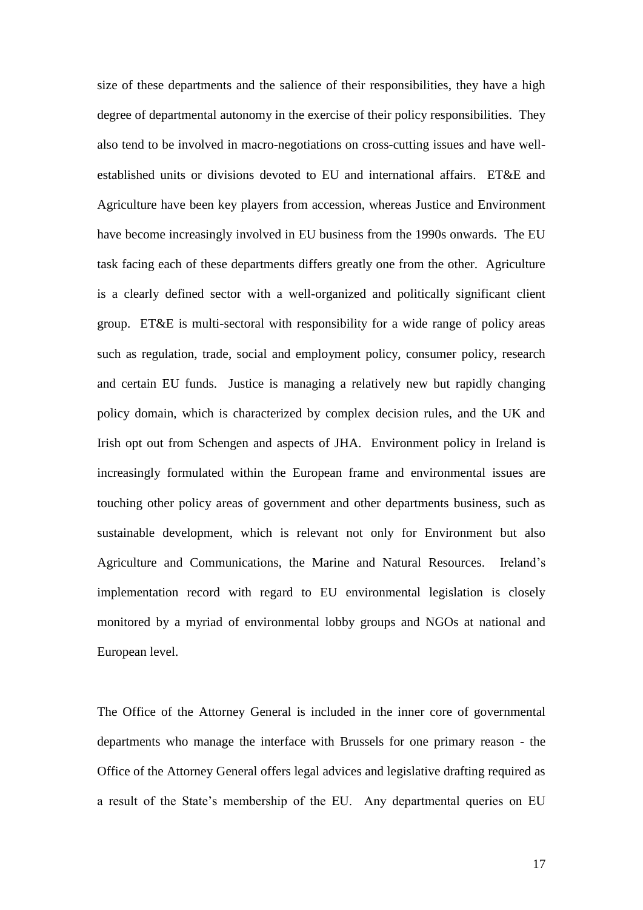size of these departments and the salience of their responsibilities, they have a high degree of departmental autonomy in the exercise of their policy responsibilities. They also tend to be involved in macro-negotiations on cross-cutting issues and have wellestablished units or divisions devoted to EU and international affairs. ET&E and Agriculture have been key players from accession, whereas Justice and Environment have become increasingly involved in EU business from the 1990s onwards. The EU task facing each of these departments differs greatly one from the other. Agriculture is a clearly defined sector with a well-organized and politically significant client group. ET&E is multi-sectoral with responsibility for a wide range of policy areas such as regulation, trade, social and employment policy, consumer policy, research and certain EU funds. Justice is managing a relatively new but rapidly changing policy domain, which is characterized by complex decision rules, and the UK and Irish opt out from Schengen and aspects of JHA. Environment policy in Ireland is increasingly formulated within the European frame and environmental issues are touching other policy areas of government and other departments business, such as sustainable development, which is relevant not only for Environment but also Agriculture and Communications, the Marine and Natural Resources. Ireland's implementation record with regard to EU environmental legislation is closely monitored by a myriad of environmental lobby groups and NGOs at national and European level.

The Office of the Attorney General is included in the inner core of governmental departments who manage the interface with Brussels for one primary reason - the Office of the Attorney General offers legal advices and legislative drafting required as a result of the State's membership of the EU. Any departmental queries on EU

17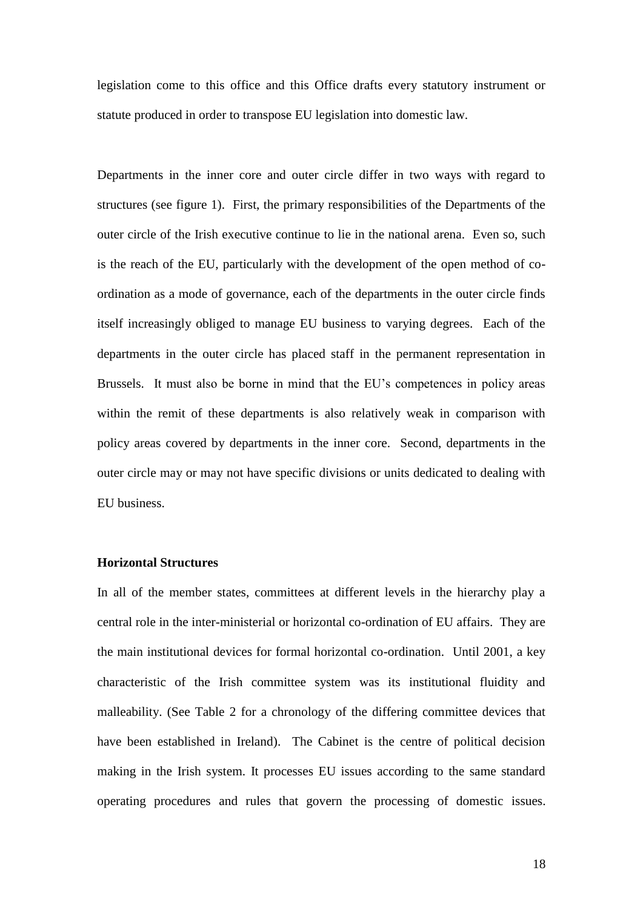legislation come to this office and this Office drafts every statutory instrument or statute produced in order to transpose EU legislation into domestic law.

Departments in the inner core and outer circle differ in two ways with regard to structures (see figure 1). First, the primary responsibilities of the Departments of the outer circle of the Irish executive continue to lie in the national arena. Even so, such is the reach of the EU, particularly with the development of the open method of coordination as a mode of governance, each of the departments in the outer circle finds itself increasingly obliged to manage EU business to varying degrees. Each of the departments in the outer circle has placed staff in the permanent representation in Brussels. It must also be borne in mind that the EU's competences in policy areas within the remit of these departments is also relatively weak in comparison with policy areas covered by departments in the inner core. Second, departments in the outer circle may or may not have specific divisions or units dedicated to dealing with EU business.

## **Horizontal Structures**

In all of the member states, committees at different levels in the hierarchy play a central role in the inter-ministerial or horizontal co-ordination of EU affairs. They are the main institutional devices for formal horizontal co-ordination. Until 2001, a key characteristic of the Irish committee system was its institutional fluidity and malleability. (See Table 2 for a chronology of the differing committee devices that have been established in Ireland). The Cabinet is the centre of political decision making in the Irish system. It processes EU issues according to the same standard operating procedures and rules that govern the processing of domestic issues.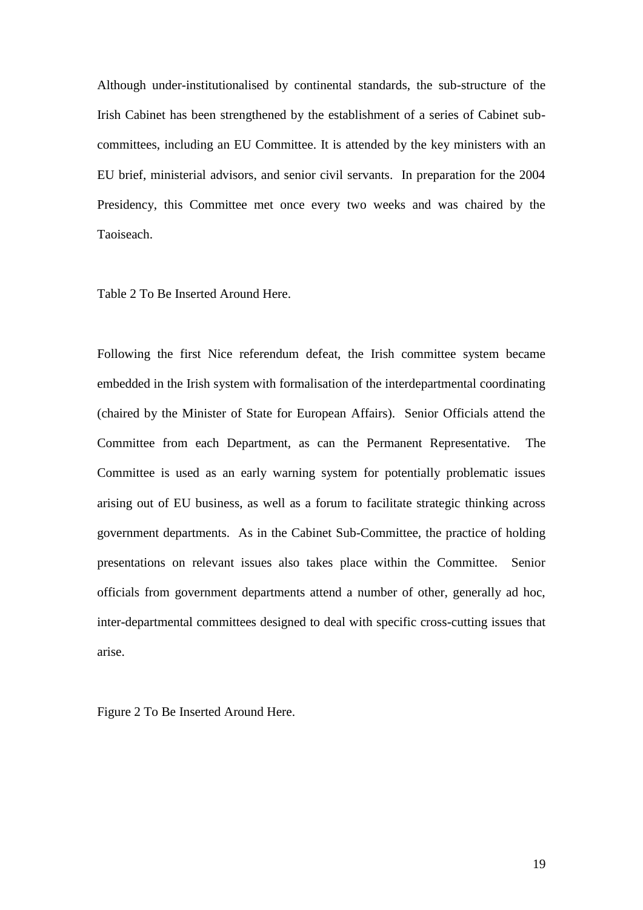Although under-institutionalised by continental standards, the sub-structure of the Irish Cabinet has been strengthened by the establishment of a series of Cabinet subcommittees, including an EU Committee. It is attended by the key ministers with an EU brief, ministerial advisors, and senior civil servants. In preparation for the 2004 Presidency, this Committee met once every two weeks and was chaired by the Taoiseach.

Table 2 To Be Inserted Around Here.

Following the first Nice referendum defeat, the Irish committee system became embedded in the Irish system with formalisation of the interdepartmental coordinating (chaired by the Minister of State for European Affairs). Senior Officials attend the Committee from each Department, as can the Permanent Representative. The Committee is used as an early warning system for potentially problematic issues arising out of EU business, as well as a forum to facilitate strategic thinking across government departments. As in the Cabinet Sub-Committee, the practice of holding presentations on relevant issues also takes place within the Committee. Senior officials from government departments attend a number of other, generally ad hoc, inter-departmental committees designed to deal with specific cross-cutting issues that arise.

Figure 2 To Be Inserted Around Here.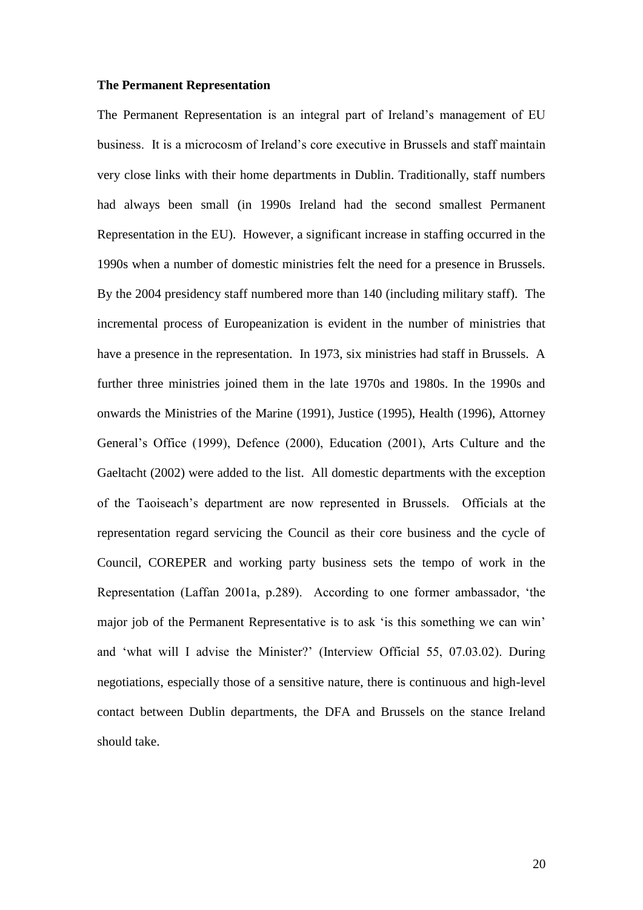#### **The Permanent Representation**

The Permanent Representation is an integral part of Ireland's management of EU business. It is a microcosm of Ireland's core executive in Brussels and staff maintain very close links with their home departments in Dublin. Traditionally, staff numbers had always been small (in 1990s Ireland had the second smallest Permanent Representation in the EU). However, a significant increase in staffing occurred in the 1990s when a number of domestic ministries felt the need for a presence in Brussels. By the 2004 presidency staff numbered more than 140 (including military staff). The incremental process of Europeanization is evident in the number of ministries that have a presence in the representation. In 1973, six ministries had staff in Brussels. A further three ministries joined them in the late 1970s and 1980s. In the 1990s and onwards the Ministries of the Marine (1991), Justice (1995), Health (1996), Attorney General's Office (1999), Defence (2000), Education (2001), Arts Culture and the Gaeltacht (2002) were added to the list. All domestic departments with the exception of the Taoiseach's department are now represented in Brussels. Officials at the representation regard servicing the Council as their core business and the cycle of Council, COREPER and working party business sets the tempo of work in the Representation (Laffan 2001a, p.289). According to one former ambassador, 'the major job of the Permanent Representative is to ask 'is this something we can win' and 'what will I advise the Minister?' (Interview Official 55, 07.03.02). During negotiations, especially those of a sensitive nature, there is continuous and high-level contact between Dublin departments, the DFA and Brussels on the stance Ireland should take.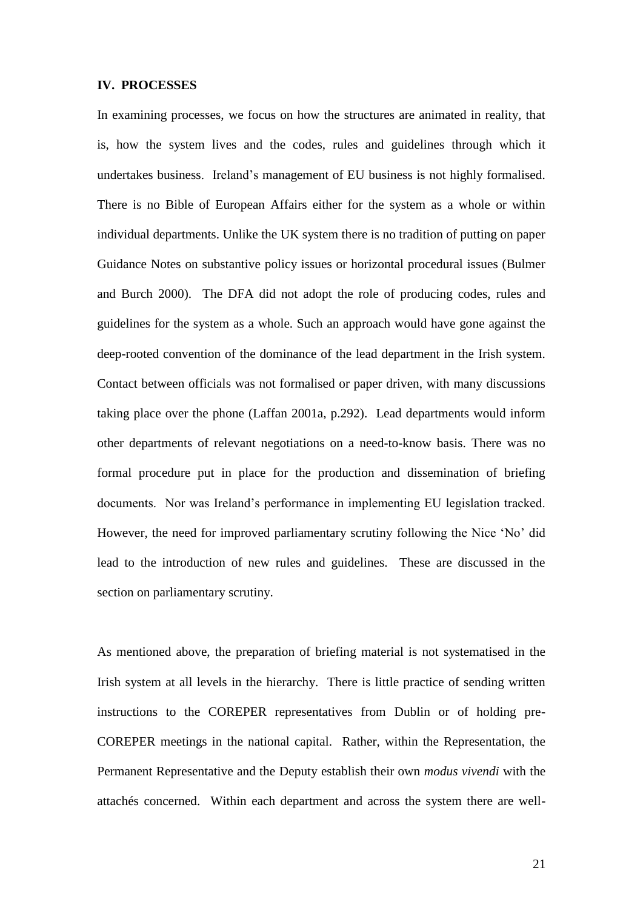#### **IV. PROCESSES**

In examining processes, we focus on how the structures are animated in reality, that is, how the system lives and the codes, rules and guidelines through which it undertakes business. Ireland's management of EU business is not highly formalised. There is no Bible of European Affairs either for the system as a whole or within individual departments. Unlike the UK system there is no tradition of putting on paper Guidance Notes on substantive policy issues or horizontal procedural issues (Bulmer and Burch 2000). The DFA did not adopt the role of producing codes, rules and guidelines for the system as a whole. Such an approach would have gone against the deep-rooted convention of the dominance of the lead department in the Irish system. Contact between officials was not formalised or paper driven, with many discussions taking place over the phone (Laffan 2001a, p.292). Lead departments would inform other departments of relevant negotiations on a need-to-know basis. There was no formal procedure put in place for the production and dissemination of briefing documents. Nor was Ireland's performance in implementing EU legislation tracked. However, the need for improved parliamentary scrutiny following the Nice 'No' did lead to the introduction of new rules and guidelines. These are discussed in the section on parliamentary scrutiny.

As mentioned above, the preparation of briefing material is not systematised in the Irish system at all levels in the hierarchy. There is little practice of sending written instructions to the COREPER representatives from Dublin or of holding pre-COREPER meetings in the national capital. Rather, within the Representation, the Permanent Representative and the Deputy establish their own *modus vivendi* with the attachés concerned. Within each department and across the system there are well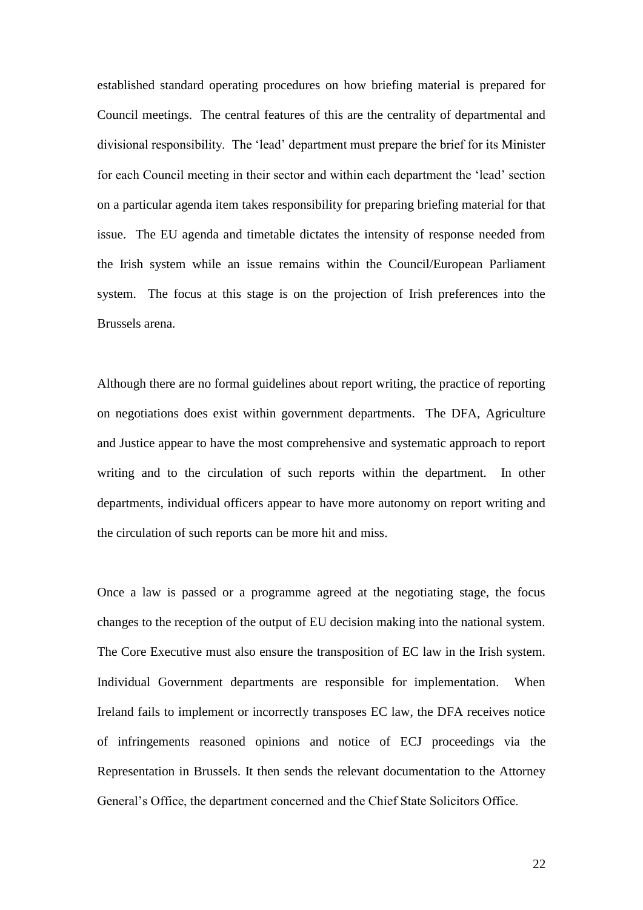established standard operating procedures on how briefing material is prepared for Council meetings. The central features of this are the centrality of departmental and divisional responsibility. The 'lead' department must prepare the brief for its Minister for each Council meeting in their sector and within each department the 'lead' section on a particular agenda item takes responsibility for preparing briefing material for that issue. The EU agenda and timetable dictates the intensity of response needed from the Irish system while an issue remains within the Council/European Parliament system. The focus at this stage is on the projection of Irish preferences into the Brussels arena.

Although there are no formal guidelines about report writing, the practice of reporting on negotiations does exist within government departments. The DFA, Agriculture and Justice appear to have the most comprehensive and systematic approach to report writing and to the circulation of such reports within the department. In other departments, individual officers appear to have more autonomy on report writing and the circulation of such reports can be more hit and miss.

Once a law is passed or a programme agreed at the negotiating stage, the focus changes to the reception of the output of EU decision making into the national system. The Core Executive must also ensure the transposition of EC law in the Irish system. Individual Government departments are responsible for implementation. When Ireland fails to implement or incorrectly transposes EC law, the DFA receives notice of infringements reasoned opinions and notice of ECJ proceedings via the Representation in Brussels. It then sends the relevant documentation to the Attorney General's Office, the department concerned and the Chief State Solicitors Office.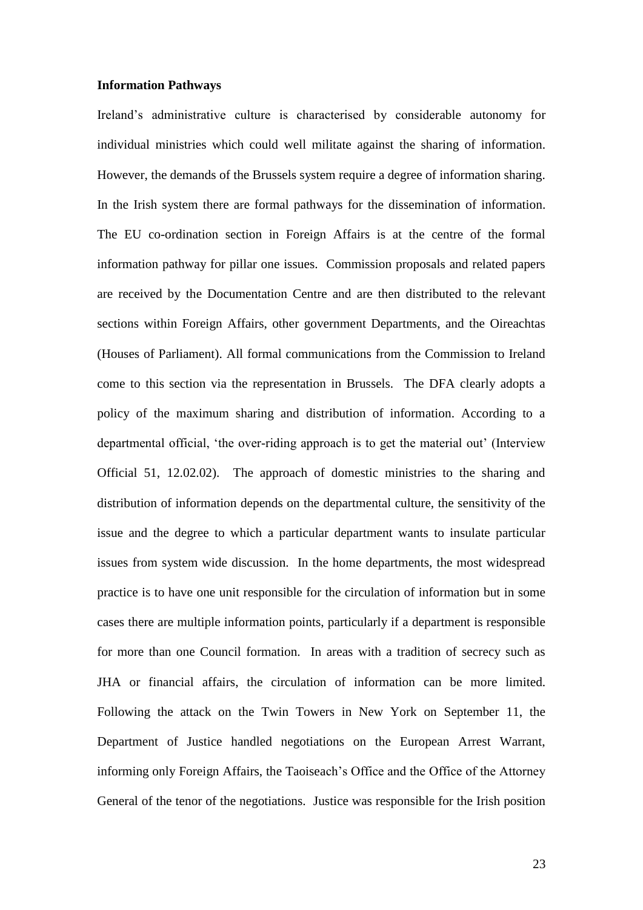#### **Information Pathways**

Ireland's administrative culture is characterised by considerable autonomy for individual ministries which could well militate against the sharing of information. However, the demands of the Brussels system require a degree of information sharing. In the Irish system there are formal pathways for the dissemination of information. The EU co-ordination section in Foreign Affairs is at the centre of the formal information pathway for pillar one issues. Commission proposals and related papers are received by the Documentation Centre and are then distributed to the relevant sections within Foreign Affairs, other government Departments, and the Oireachtas (Houses of Parliament). All formal communications from the Commission to Ireland come to this section via the representation in Brussels. The DFA clearly adopts a policy of the maximum sharing and distribution of information. According to a departmental official, 'the over-riding approach is to get the material out' (Interview Official 51, 12.02.02). The approach of domestic ministries to the sharing and distribution of information depends on the departmental culture, the sensitivity of the issue and the degree to which a particular department wants to insulate particular issues from system wide discussion. In the home departments, the most widespread practice is to have one unit responsible for the circulation of information but in some cases there are multiple information points, particularly if a department is responsible for more than one Council formation. In areas with a tradition of secrecy such as JHA or financial affairs, the circulation of information can be more limited. Following the attack on the Twin Towers in New York on September 11, the Department of Justice handled negotiations on the European Arrest Warrant, informing only Foreign Affairs, the Taoiseach's Office and the Office of the Attorney General of the tenor of the negotiations. Justice was responsible for the Irish position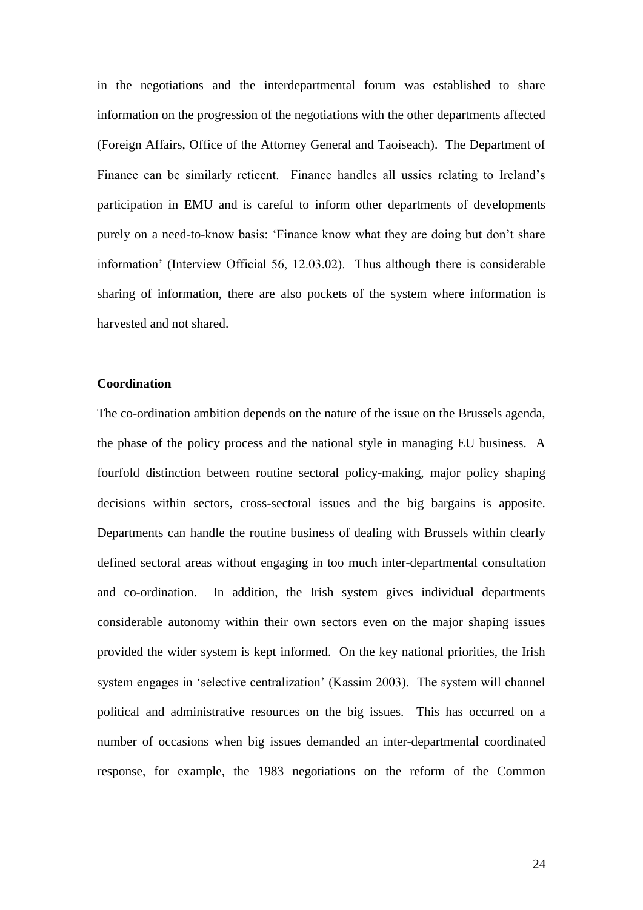in the negotiations and the interdepartmental forum was established to share information on the progression of the negotiations with the other departments affected (Foreign Affairs, Office of the Attorney General and Taoiseach). The Department of Finance can be similarly reticent. Finance handles all ussies relating to Ireland's participation in EMU and is careful to inform other departments of developments purely on a need-to-know basis: 'Finance know what they are doing but don't share information' (Interview Official 56, 12.03.02). Thus although there is considerable sharing of information, there are also pockets of the system where information is harvested and not shared.

## **Coordination**

The co-ordination ambition depends on the nature of the issue on the Brussels agenda, the phase of the policy process and the national style in managing EU business. A fourfold distinction between routine sectoral policy-making, major policy shaping decisions within sectors, cross-sectoral issues and the big bargains is apposite. Departments can handle the routine business of dealing with Brussels within clearly defined sectoral areas without engaging in too much inter-departmental consultation and co-ordination. In addition, the Irish system gives individual departments considerable autonomy within their own sectors even on the major shaping issues provided the wider system is kept informed. On the key national priorities, the Irish system engages in 'selective centralization' (Kassim 2003). The system will channel political and administrative resources on the big issues. This has occurred on a number of occasions when big issues demanded an inter-departmental coordinated response, for example, the 1983 negotiations on the reform of the Common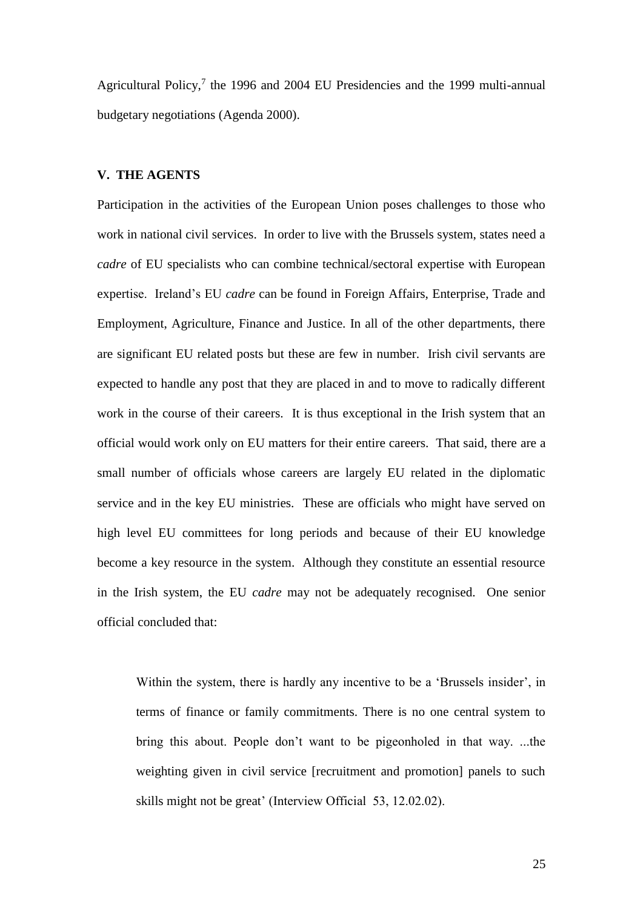Agricultural Policy, $7$  the 1996 and 2004 EU Presidencies and the 1999 multi-annual budgetary negotiations (Agenda 2000).

## **V. THE AGENTS**

Participation in the activities of the European Union poses challenges to those who work in national civil services. In order to live with the Brussels system, states need a *cadre* of EU specialists who can combine technical/sectoral expertise with European expertise. Ireland's EU *cadre* can be found in Foreign Affairs, Enterprise, Trade and Employment, Agriculture, Finance and Justice. In all of the other departments, there are significant EU related posts but these are few in number. Irish civil servants are expected to handle any post that they are placed in and to move to radically different work in the course of their careers. It is thus exceptional in the Irish system that an official would work only on EU matters for their entire careers. That said, there are a small number of officials whose careers are largely EU related in the diplomatic service and in the key EU ministries. These are officials who might have served on high level EU committees for long periods and because of their EU knowledge become a key resource in the system. Although they constitute an essential resource in the Irish system, the EU *cadre* may not be adequately recognised. One senior official concluded that:

Within the system, there is hardly any incentive to be a 'Brussels insider', in terms of finance or family commitments. There is no one central system to bring this about. People don't want to be pigeonholed in that way. ...the weighting given in civil service [recruitment and promotion] panels to such skills might not be great' (Interview Official 53, 12.02.02).

25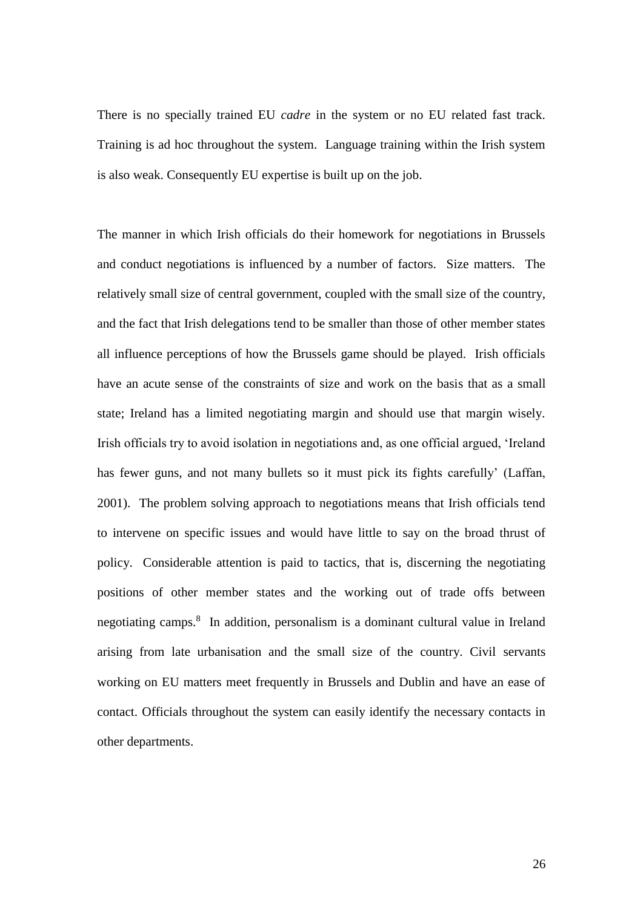There is no specially trained EU *cadre* in the system or no EU related fast track. Training is ad hoc throughout the system. Language training within the Irish system is also weak. Consequently EU expertise is built up on the job.

The manner in which Irish officials do their homework for negotiations in Brussels and conduct negotiations is influenced by a number of factors. Size matters. The relatively small size of central government, coupled with the small size of the country, and the fact that Irish delegations tend to be smaller than those of other member states all influence perceptions of how the Brussels game should be played. Irish officials have an acute sense of the constraints of size and work on the basis that as a small state; Ireland has a limited negotiating margin and should use that margin wisely. Irish officials try to avoid isolation in negotiations and, as one official argued, 'Ireland has fewer guns, and not many bullets so it must pick its fights carefully' (Laffan, 2001). The problem solving approach to negotiations means that Irish officials tend to intervene on specific issues and would have little to say on the broad thrust of policy. Considerable attention is paid to tactics, that is, discerning the negotiating positions of other member states and the working out of trade offs between negotiating camps.<sup>8</sup> In addition, personalism is a dominant cultural value in Ireland arising from late urbanisation and the small size of the country. Civil servants working on EU matters meet frequently in Brussels and Dublin and have an ease of contact. Officials throughout the system can easily identify the necessary contacts in other departments.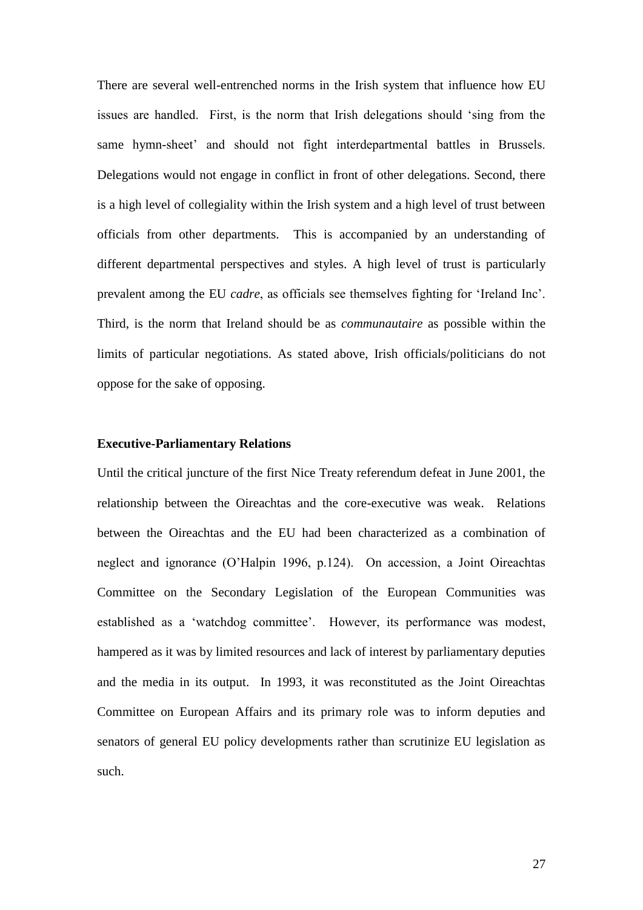There are several well-entrenched norms in the Irish system that influence how EU issues are handled. First, is the norm that Irish delegations should 'sing from the same hymn-sheet' and should not fight interdepartmental battles in Brussels. Delegations would not engage in conflict in front of other delegations. Second, there is a high level of collegiality within the Irish system and a high level of trust between officials from other departments. This is accompanied by an understanding of different departmental perspectives and styles. A high level of trust is particularly prevalent among the EU *cadre*, as officials see themselves fighting for 'Ireland Inc'. Third, is the norm that Ireland should be as *communautaire* as possible within the limits of particular negotiations. As stated above, Irish officials/politicians do not oppose for the sake of opposing.

## **Executive-Parliamentary Relations**

Until the critical juncture of the first Nice Treaty referendum defeat in June 2001, the relationship between the Oireachtas and the core-executive was weak. Relations between the Oireachtas and the EU had been characterized as a combination of neglect and ignorance (O'Halpin 1996, p.124). On accession, a Joint Oireachtas Committee on the Secondary Legislation of the European Communities was established as a 'watchdog committee'. However, its performance was modest, hampered as it was by limited resources and lack of interest by parliamentary deputies and the media in its output. In 1993, it was reconstituted as the Joint Oireachtas Committee on European Affairs and its primary role was to inform deputies and senators of general EU policy developments rather than scrutinize EU legislation as such.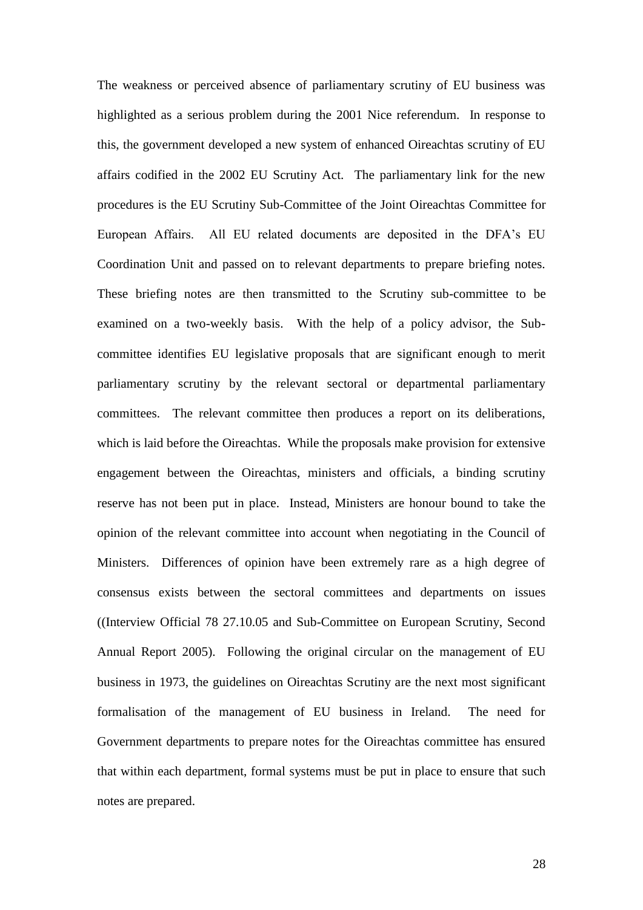The weakness or perceived absence of parliamentary scrutiny of EU business was highlighted as a serious problem during the 2001 Nice referendum. In response to this, the government developed a new system of enhanced Oireachtas scrutiny of EU affairs codified in the 2002 EU Scrutiny Act. The parliamentary link for the new procedures is the EU Scrutiny Sub-Committee of the Joint Oireachtas Committee for European Affairs. All EU related documents are deposited in the DFA's EU Coordination Unit and passed on to relevant departments to prepare briefing notes. These briefing notes are then transmitted to the Scrutiny sub-committee to be examined on a two-weekly basis. With the help of a policy advisor, the Subcommittee identifies EU legislative proposals that are significant enough to merit parliamentary scrutiny by the relevant sectoral or departmental parliamentary committees. The relevant committee then produces a report on its deliberations, which is laid before the Oireachtas. While the proposals make provision for extensive engagement between the Oireachtas, ministers and officials, a binding scrutiny reserve has not been put in place. Instead, Ministers are honour bound to take the opinion of the relevant committee into account when negotiating in the Council of Ministers. Differences of opinion have been extremely rare as a high degree of consensus exists between the sectoral committees and departments on issues ((Interview Official 78 27.10.05 and Sub-Committee on European Scrutiny, Second Annual Report 2005). Following the original circular on the management of EU business in 1973, the guidelines on Oireachtas Scrutiny are the next most significant formalisation of the management of EU business in Ireland. The need for Government departments to prepare notes for the Oireachtas committee has ensured that within each department, formal systems must be put in place to ensure that such notes are prepared.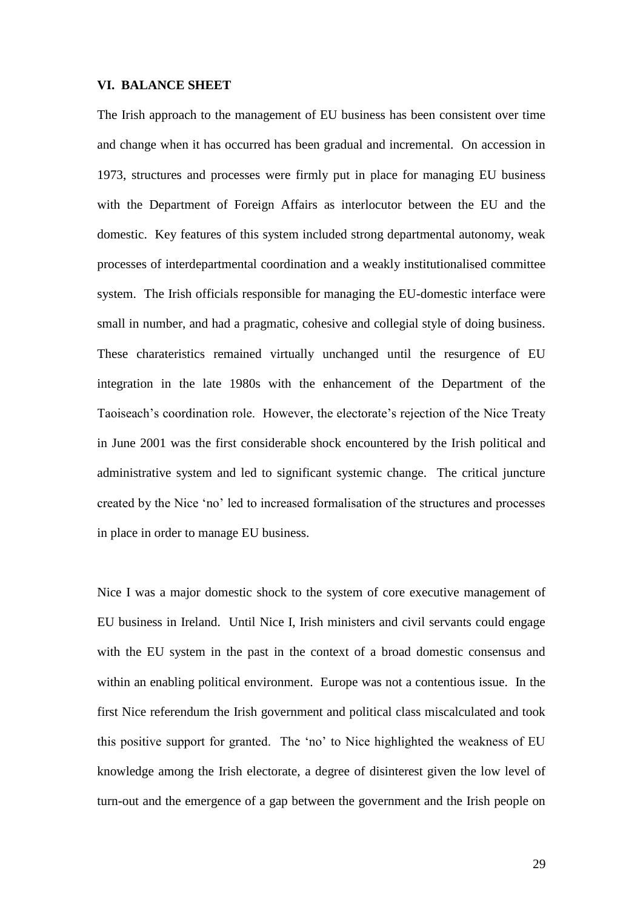#### **VI. BALANCE SHEET**

The Irish approach to the management of EU business has been consistent over time and change when it has occurred has been gradual and incremental. On accession in 1973, structures and processes were firmly put in place for managing EU business with the Department of Foreign Affairs as interlocutor between the EU and the domestic. Key features of this system included strong departmental autonomy, weak processes of interdepartmental coordination and a weakly institutionalised committee system. The Irish officials responsible for managing the EU-domestic interface were small in number, and had a pragmatic, cohesive and collegial style of doing business. These charateristics remained virtually unchanged until the resurgence of EU integration in the late 1980s with the enhancement of the Department of the Taoiseach's coordination role. However, the electorate's rejection of the Nice Treaty in June 2001 was the first considerable shock encountered by the Irish political and administrative system and led to significant systemic change. The critical juncture created by the Nice 'no' led to increased formalisation of the structures and processes in place in order to manage EU business.

Nice I was a major domestic shock to the system of core executive management of EU business in Ireland. Until Nice I, Irish ministers and civil servants could engage with the EU system in the past in the context of a broad domestic consensus and within an enabling political environment. Europe was not a contentious issue. In the first Nice referendum the Irish government and political class miscalculated and took this positive support for granted. The 'no' to Nice highlighted the weakness of EU knowledge among the Irish electorate, a degree of disinterest given the low level of turn-out and the emergence of a gap between the government and the Irish people on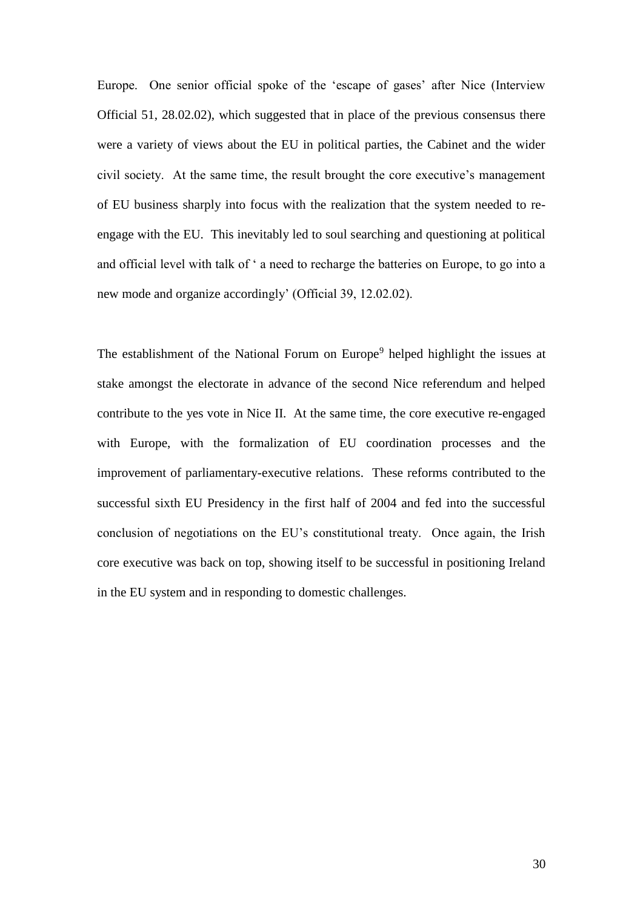Europe. One senior official spoke of the 'escape of gases' after Nice (Interview Official 51, 28.02.02), which suggested that in place of the previous consensus there were a variety of views about the EU in political parties, the Cabinet and the wider civil society. At the same time, the result brought the core executive's management of EU business sharply into focus with the realization that the system needed to reengage with the EU. This inevitably led to soul searching and questioning at political and official level with talk of ' a need to recharge the batteries on Europe, to go into a new mode and organize accordingly' (Official 39, 12.02.02).

The establishment of the National Forum on Europe<sup>9</sup> helped highlight the issues at stake amongst the electorate in advance of the second Nice referendum and helped contribute to the yes vote in Nice II. At the same time, the core executive re-engaged with Europe, with the formalization of EU coordination processes and the improvement of parliamentary-executive relations. These reforms contributed to the successful sixth EU Presidency in the first half of 2004 and fed into the successful conclusion of negotiations on the EU's constitutional treaty. Once again, the Irish core executive was back on top, showing itself to be successful in positioning Ireland in the EU system and in responding to domestic challenges.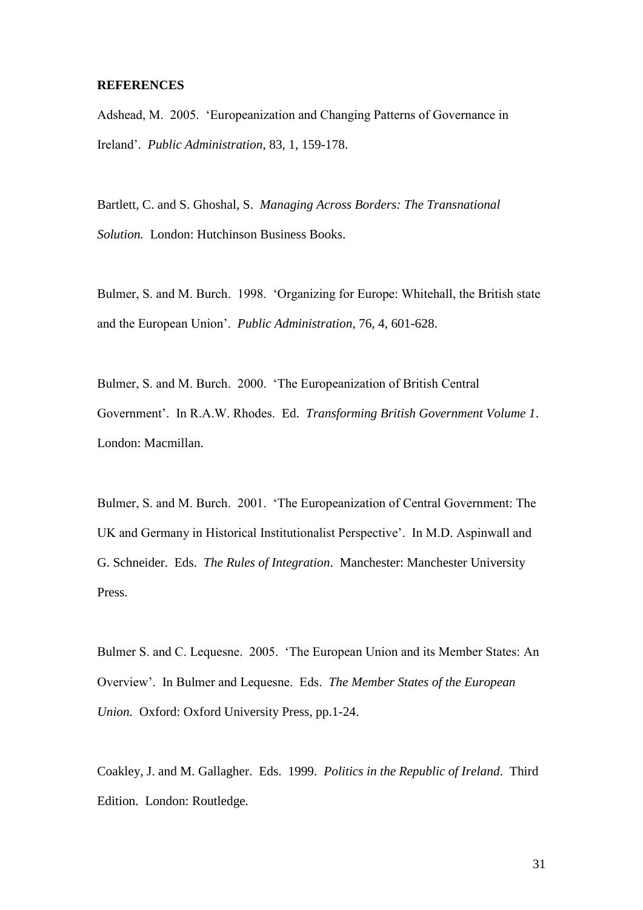#### **REFERENCES**

Adshead, M. 2005. 'Europeanization and Changing Patterns of Governance in Ireland'. *Public Administration*, 83, 1, 159-178.

Bartlett, C. and S. Ghoshal, S. *Managing Across Borders: The Transnational Solution.* London: Hutchinson Business Books.

Bulmer, S. and M. Burch. 1998. 'Organizing for Europe: Whitehall, the British state and the European Union'. *Public Administration*, 76, 4, 601-628.

Bulmer, S. and M. Burch. 2000. 'The Europeanization of British Central Government'. In R.A.W. Rhodes. Ed. *Transforming British Government Volume 1*. London: Macmillan.

Bulmer, S. and M. Burch. 2001. 'The Europeanization of Central Government: The UK and Germany in Historical Institutionalist Perspective'. In M.D. Aspinwall and G. Schneider. Eds. *The Rules of Integration*. Manchester: Manchester University Press.

Bulmer S. and C. Lequesne. 2005. 'The European Union and its Member States: An Overview'. In Bulmer and Lequesne. Eds. *The Member States of the European Union.* Oxford: Oxford University Press, pp.1-24.

Coakley, J. and M. Gallagher. Eds. 1999. *Politics in the Republic of Ireland*. Third Edition. London: Routledge.

31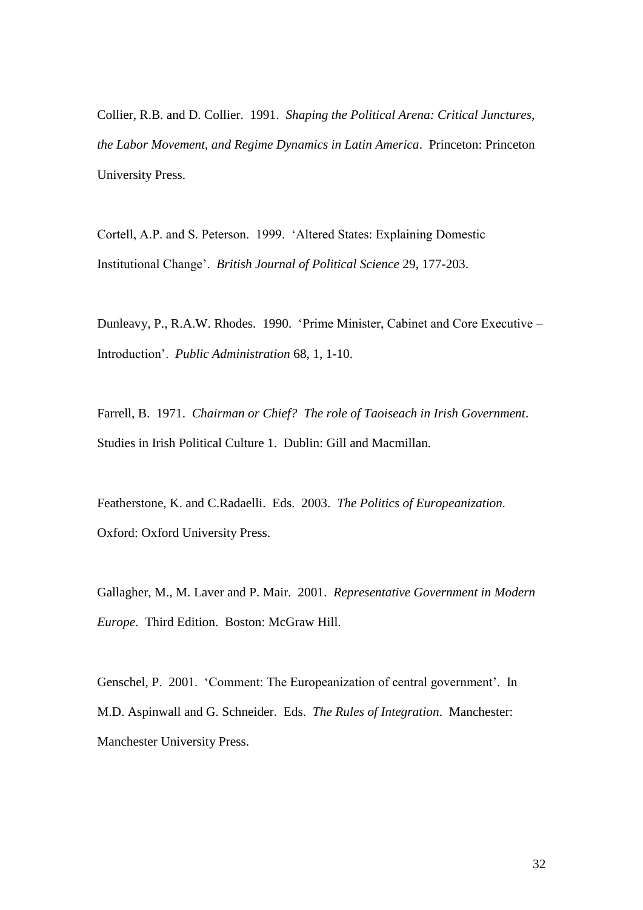Collier, R.B. and D. Collier. 1991. *Shaping the Political Arena: Critical Junctures, the Labor Movement, and Regime Dynamics in Latin America*. Princeton: Princeton University Press.

Cortell, A.P. and S. Peterson. 1999. 'Altered States: Explaining Domestic Institutional Change'. *British Journal of Political Science* 29, 177-203.

Dunleavy, P., R.A.W. Rhodes. 1990. 'Prime Minister, Cabinet and Core Executive – Introduction'. *Public Administration* 68, 1, 1-10.

Farrell, B. 1971. *Chairman or Chief? The role of Taoiseach in Irish Government*. Studies in Irish Political Culture 1. Dublin: Gill and Macmillan.

Featherstone, K. and C.Radaelli. Eds. 2003. *The Politics of Europeanization.* Oxford: Oxford University Press.

Gallagher, M., M. Laver and P. Mair. 2001. *Representative Government in Modern Europe*. Third Edition. Boston: McGraw Hill.

Genschel, P. 2001. 'Comment: The Europeanization of central government'. In M.D. Aspinwall and G. Schneider. Eds. *The Rules of Integration*. Manchester: Manchester University Press.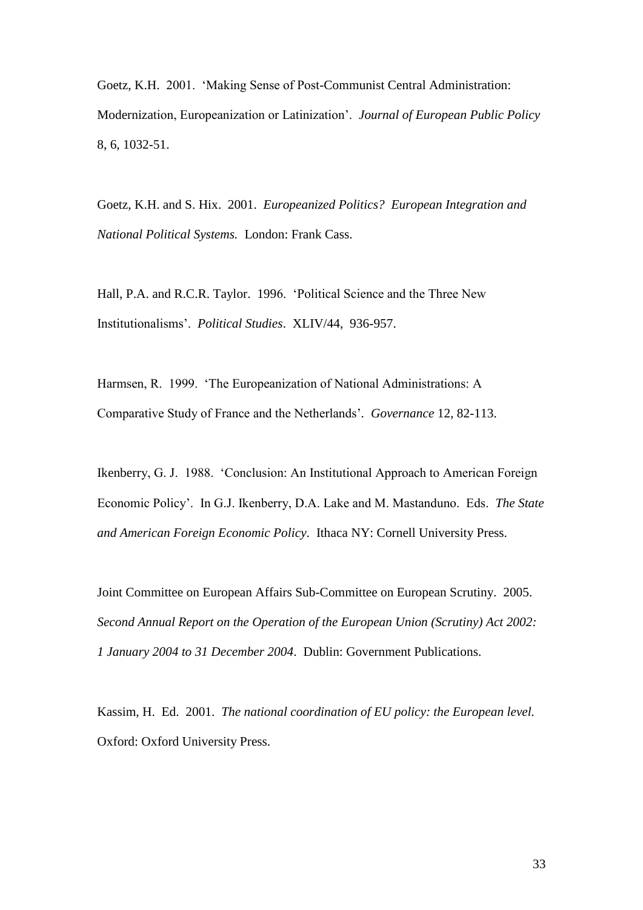Goetz, K.H. 2001. 'Making Sense of Post-Communist Central Administration: Modernization, Europeanization or Latinization'. *Journal of European Public Policy* 8, 6, 1032-51.

Goetz, K.H. and S. Hix. 2001. *Europeanized Politics? European Integration and National Political Systems.* London: Frank Cass.

Hall, P.A. and R.C.R. Taylor. 1996. 'Political Science and the Three New Institutionalisms'. *Political Studies*. XLIV/44, 936-957.

Harmsen, R. 1999. 'The Europeanization of National Administrations: A Comparative Study of France and the Netherlands'*. Governance* 12, 82-113.

Ikenberry, G. J. 1988. 'Conclusion: An Institutional Approach to American Foreign Economic Policy'. In G.J. Ikenberry, D.A. Lake and M. Mastanduno. Eds. *The State and American Foreign Economic Policy*. Ithaca NY: Cornell University Press.

Joint Committee on European Affairs Sub-Committee on European Scrutiny. 2005. *Second Annual Report on the Operation of the European Union (Scrutiny) Act 2002: 1 January 2004 to 31 December 2004*. Dublin: Government Publications.

Kassim, H. Ed. 2001. *The national coordination of EU policy: the European level.*  Oxford: Oxford University Press.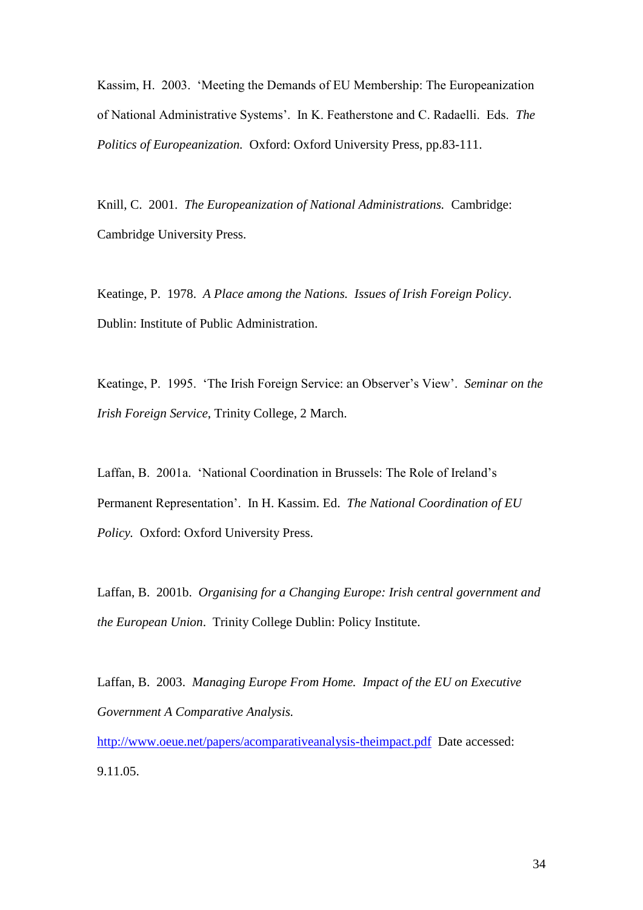Kassim, H. 2003. 'Meeting the Demands of EU Membership: The Europeanization of National Administrative Systems'. In K. Featherstone and C. Radaelli. Eds. *The Politics of Europeanization.* Oxford: Oxford University Press, pp.83-111.

Knill, C. 2001. *The Europeanization of National Administrations.* Cambridge: Cambridge University Press.

Keatinge, P. 1978. *A Place among the Nations. Issues of Irish Foreign Policy*. Dublin: Institute of Public Administration.

Keatinge, P. 1995. 'The Irish Foreign Service: an Observer's View'. *Seminar on the Irish Foreign Service*, Trinity College, 2 March.

Laffan, B. 2001a. 'National Coordination in Brussels: The Role of Ireland's Permanent Representation'. In H. Kassim. Ed. *The National Coordination of EU Policy.* Oxford: Oxford University Press.

Laffan, B. 2001b. *Organising for a Changing Europe: Irish central government and the European Union*. Trinity College Dublin: Policy Institute.

Laffan, B. 2003. *Managing Europe From Home. Impact of the EU on Executive Government A Comparative Analysis.* 

<http://www.oeue.net/papers/acomparativeanalysis-theimpact.pdf>Date accessed: 9.11.05.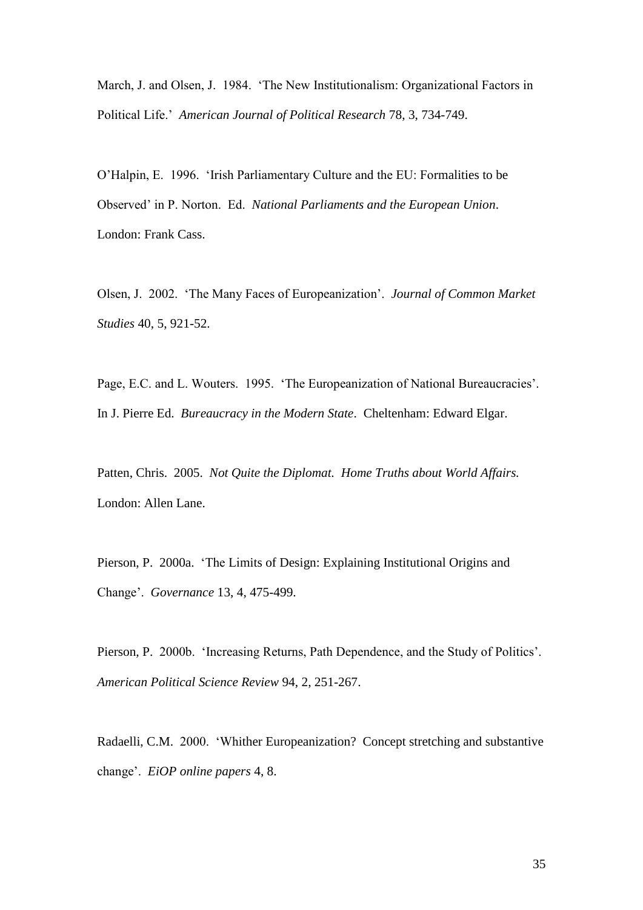March, J. and Olsen, J. 1984. 'The New Institutionalism: Organizational Factors in Political Life.' *American Journal of Political Research* 78, 3, 734-749.

O'Halpin, E. 1996. 'Irish Parliamentary Culture and the EU: Formalities to be Observed' in P. Norton. Ed. *National Parliaments and the European Union*. London: Frank Cass.

Olsen, J. 2002. 'The Many Faces of Europeanization'. *Journal of Common Market Studies* 40, 5, 921-52.

Page, E.C. and L. Wouters. 1995. 'The Europeanization of National Bureaucracies'. In J. Pierre Ed. *Bureaucracy in the Modern State*. Cheltenham: Edward Elgar.

Patten, Chris. 2005. *Not Quite the Diplomat. Home Truths about World Affairs.*  London: Allen Lane.

Pierson, P. 2000a. 'The Limits of Design: Explaining Institutional Origins and Change'. *Governance* 13, 4, 475-499.

Pierson, P. 2000b. 'Increasing Returns, Path Dependence, and the Study of Politics'. *American Political Science Review* 94, 2, 251-267.

Radaelli, C.M. 2000. 'Whither Europeanization? Concept stretching and substantive change'. *EiOP online papers* 4, 8.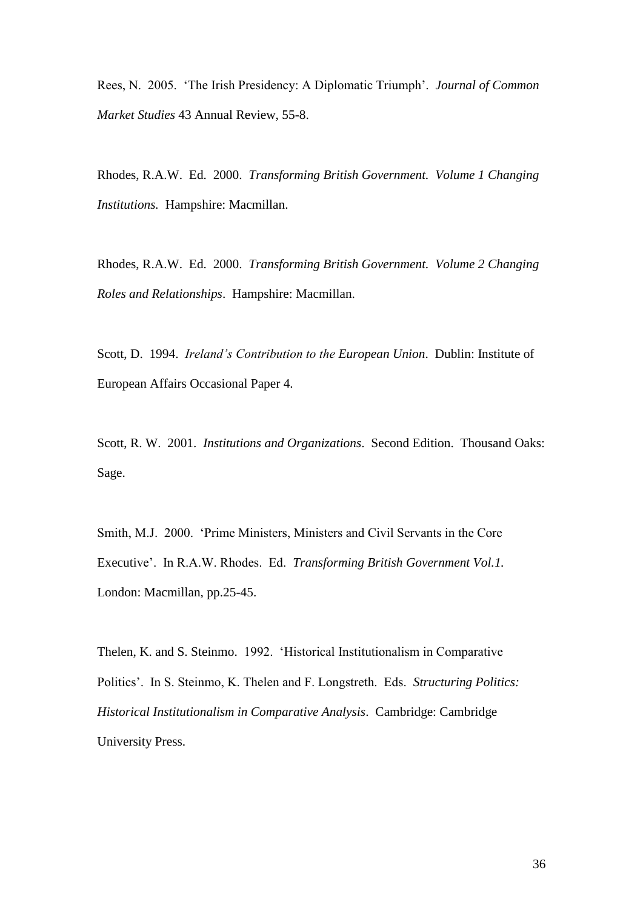Rees, N. 2005. 'The Irish Presidency: A Diplomatic Triumph'. *Journal of Common Market Studies* 43 Annual Review, 55-8.

Rhodes, R.A.W. Ed. 2000. *Transforming British Government. Volume 1 Changing Institutions.* Hampshire: Macmillan.

Rhodes, R.A.W. Ed. 2000. *Transforming British Government. Volume 2 Changing Roles and Relationships*. Hampshire: Macmillan.

Scott, D. 1994. *Ireland's Contribution to the European Union*. Dublin: Institute of European Affairs Occasional Paper 4.

Scott, R. W. 2001. *Institutions and Organizations*. Second Edition. Thousand Oaks: Sage.

Smith, M.J. 2000. 'Prime Ministers, Ministers and Civil Servants in the Core Executive'. In R.A.W. Rhodes. Ed. *Transforming British Government Vol.1.*  London: Macmillan, pp.25-45.

Thelen, K. and S. Steinmo. 1992. 'Historical Institutionalism in Comparative Politics'. In S. Steinmo, K. Thelen and F. Longstreth. Eds. *Structuring Politics: Historical Institutionalism in Comparative Analysis*. Cambridge: Cambridge University Press.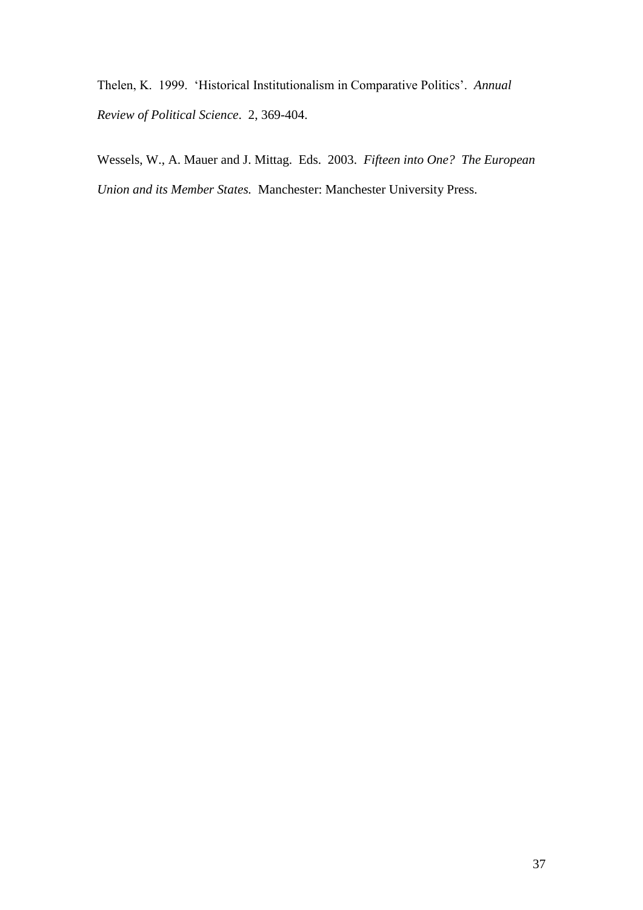Thelen, K. 1999. 'Historical Institutionalism in Comparative Politics'. *Annual Review of Political Science*. 2, 369-404.

Wessels, W., A. Mauer and J. Mittag. Eds. 2003. *Fifteen into One? The European Union and its Member States.* Manchester: Manchester University Press.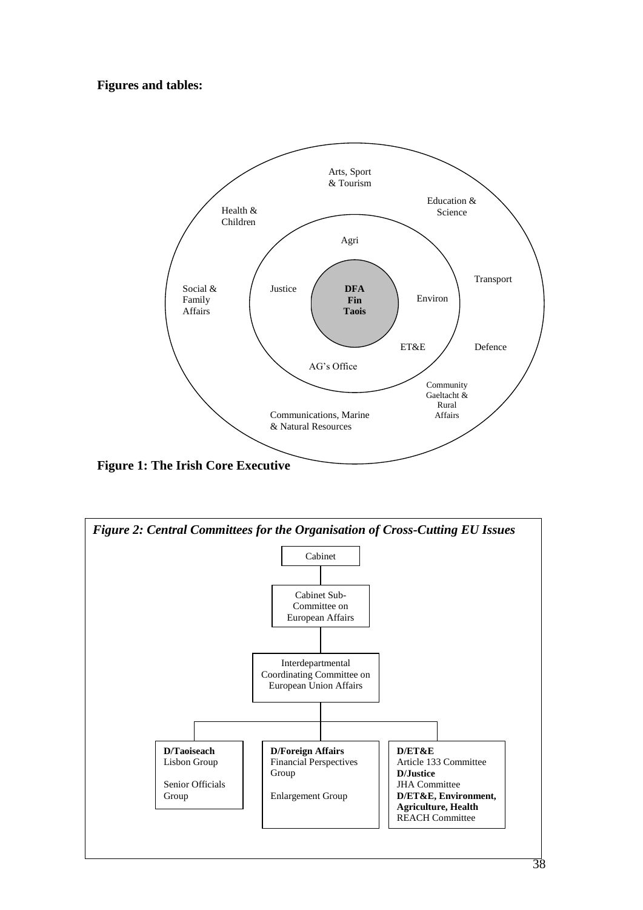## **Figures and tables:**



**Figure 1: The Irish Core Executive**

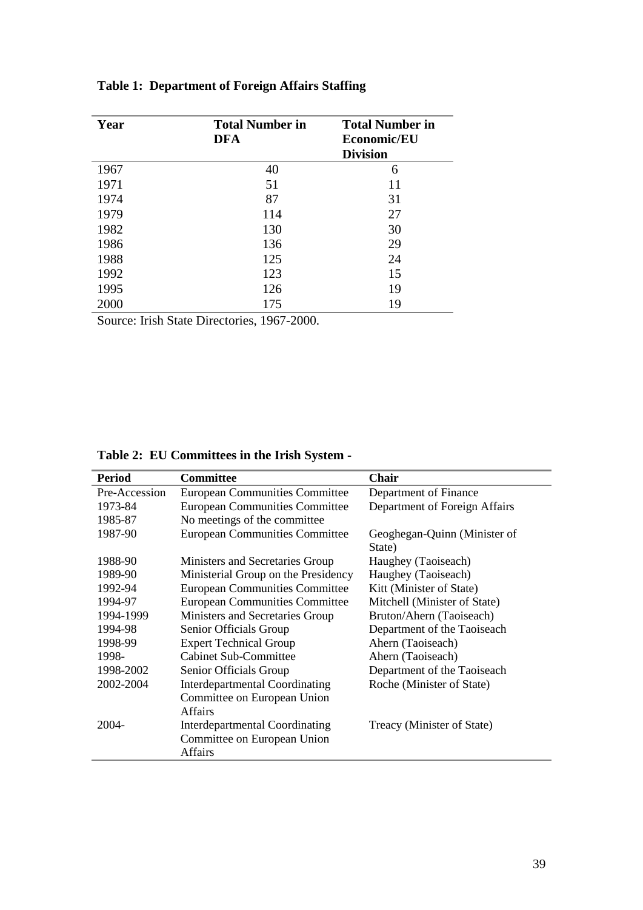| Year | <b>Total Number in</b><br><b>DFA</b> | <b>Total Number in</b><br>Economic/EU<br><b>Division</b> |
|------|--------------------------------------|----------------------------------------------------------|
| 1967 | 40                                   | 6                                                        |
| 1971 | 51                                   | 11                                                       |
| 1974 | 87                                   | 31                                                       |
| 1979 | 114                                  | 27                                                       |
| 1982 | 130                                  | 30                                                       |
| 1986 | 136                                  | 29                                                       |
| 1988 | 125                                  | 24                                                       |
| 1992 | 123                                  | 15                                                       |
| 1995 | 126                                  | 19                                                       |
| 2000 | 175                                  | 19                                                       |

## **Table 1: Department of Foreign Affairs Staffing**

Source: Irish State Directories, 1967-2000.

|  |  | Table 2: EU Committees in the Irish System - |  |  |  |  |  |
|--|--|----------------------------------------------|--|--|--|--|--|
|--|--|----------------------------------------------|--|--|--|--|--|

| <b>Period</b> | <b>Committee</b>                                                                       | <b>Chair</b>                           |
|---------------|----------------------------------------------------------------------------------------|----------------------------------------|
| Pre-Accession | <b>European Communities Committee</b>                                                  | Department of Finance                  |
| 1973-84       | <b>European Communities Committee</b>                                                  | Department of Foreign Affairs          |
| 1985-87       | No meetings of the committee                                                           |                                        |
| 1987-90       | <b>European Communities Committee</b>                                                  | Geoghegan-Quinn (Minister of<br>State) |
| 1988-90       | Ministers and Secretaries Group                                                        | Haughey (Taoiseach)                    |
| 1989-90       | Ministerial Group on the Presidency                                                    | Haughey (Taoiseach)                    |
| 1992-94       | <b>European Communities Committee</b>                                                  | Kitt (Minister of State)               |
| 1994-97       | <b>European Communities Committee</b>                                                  | Mitchell (Minister of State)           |
| 1994-1999     | Ministers and Secretaries Group                                                        | Bruton/Ahern (Taoiseach)               |
| 1994-98       | Senior Officials Group                                                                 | Department of the Taoiseach            |
| 1998-99       | <b>Expert Technical Group</b>                                                          | Ahern (Taoiseach)                      |
| 1998-         | <b>Cabinet Sub-Committee</b>                                                           | Ahern (Taoiseach)                      |
| 1998-2002     | Senior Officials Group                                                                 | Department of the Taoiseach            |
| 2002-2004     | <b>Interdepartmental Coordinating</b>                                                  | Roche (Minister of State)              |
|               | Committee on European Union<br><b>Affairs</b>                                          |                                        |
| 2004-         | <b>Interdepartmental Coordinating</b><br>Committee on European Union<br><b>Affairs</b> | Treacy (Minister of State)             |